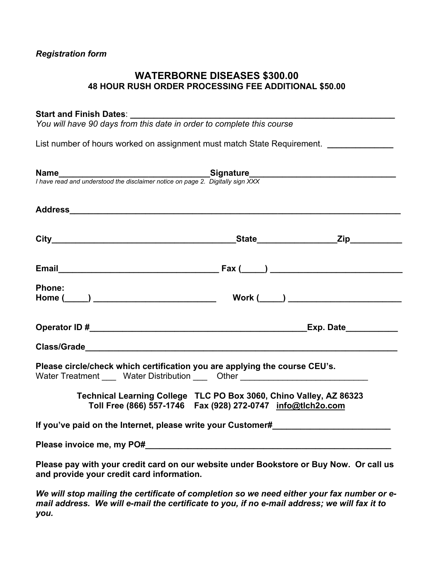## *Registration form*

## **WATERBORNE DISEASES \$300.00 48 HOUR RUSH ORDER PROCESSING FEE ADDITIONAL \$50.00**

#### Start and Finish Dates:

*You will have 90 days from this date in order to complete this course* 

List number of hours worked on assignment must match State Requirement. *\_\_\_\_\_\_\_\_\_\_\_\_* 

| <b>Phone:</b>                                                                                                                                                  |  |
|----------------------------------------------------------------------------------------------------------------------------------------------------------------|--|
|                                                                                                                                                                |  |
|                                                                                                                                                                |  |
|                                                                                                                                                                |  |
| Please circle/check which certification you are applying the course CEU's.<br>Water Treatment _____ Water Distribution ____ Other ____________________________ |  |
| Technical Learning College TLC PO Box 3060, Chino Valley, AZ 86323<br>Toll Free (866) 557-1746  Fax (928) 272-0747  info@tlch2o.com                            |  |
| If you've paid on the Internet, please write your Customer#                                                                                                    |  |
|                                                                                                                                                                |  |
| Please pay with your credit card on our website under Bookstore or Buy Now. Or call us<br>and provide your credit card information.                            |  |

*We will stop mailing the certificate of completion so we need either your fax number or email address. We will e-mail the certificate to you, if no e-mail address; we will fax it to you.*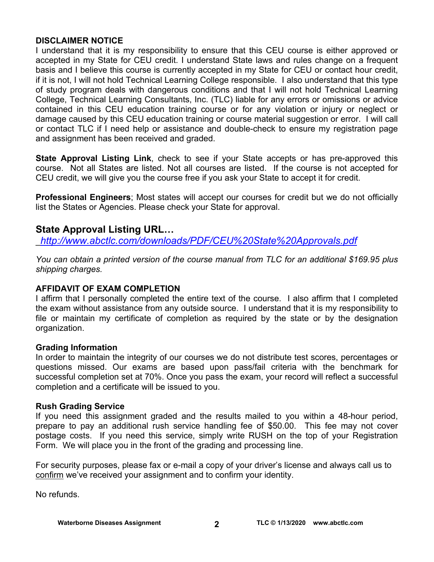## **DISCLAIMER NOTICE**

I understand that it is my responsibility to ensure that this CEU course is either approved or accepted in my State for CEU credit. I understand State laws and rules change on a frequent basis and I believe this course is currently accepted in my State for CEU or contact hour credit, if it is not, I will not hold Technical Learning College responsible. I also understand that this type of study program deals with dangerous conditions and that I will not hold Technical Learning College, Technical Learning Consultants, Inc. (TLC) liable for any errors or omissions or advice contained in this CEU education training course or for any violation or injury or neglect or damage caused by this CEU education training or course material suggestion or error. I will call or contact TLC if I need help or assistance and double-check to ensure my registration page and assignment has been received and graded.

**State Approval Listing Link**, check to see if your State accepts or has pre-approved this course. Not all States are listed. Not all courses are listed. If the course is not accepted for CEU credit, we will give you the course free if you ask your State to accept it for credit.

**Professional Engineers**; Most states will accept our courses for credit but we do not officially list the States or Agencies. Please check your State for approval.

# **State Approval Listing URL…**

\_*<http://www.abctlc.com/downloads/PDF/CEU%20State%20Approvals.pdf>*

*You can obtain a printed version of the course manual from TLC for an additional \$169.95 plus shipping charges.* 

## **AFFIDAVIT OF EXAM COMPLETION**

I affirm that I personally completed the entire text of the course. I also affirm that I completed the exam without assistance from any outside source. I understand that it is my responsibility to file or maintain my certificate of completion as required by the state or by the designation organization.

## **Grading Information**

In order to maintain the integrity of our courses we do not distribute test scores, percentages or questions missed. Our exams are based upon pass/fail criteria with the benchmark for successful completion set at 70%. Once you pass the exam, your record will reflect a successful completion and a certificate will be issued to you.

## **Rush Grading Service**

If you need this assignment graded and the results mailed to you within a 48-hour period, prepare to pay an additional rush service handling fee of \$50.00. This fee may not cover postage costs. If you need this service, simply write RUSH on the top of your Registration Form. We will place you in the front of the grading and processing line.

For security purposes, please fax or e-mail a copy of your driver's license and always call us to confirm we've received your assignment and to confirm your identity.

No refunds.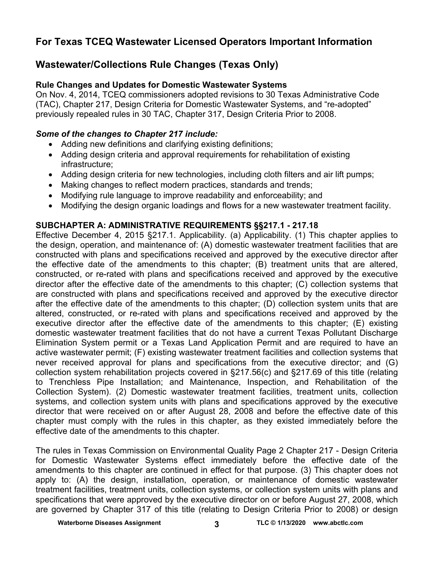# **For Texas TCEQ Wastewater Licensed Operators Important Information**

# **Wastewater/Collections Rule Changes (Texas Only)**

## **Rule Changes and Updates for Domestic Wastewater Systems**

On Nov. 4, 2014, TCEQ commissioners adopted revisions to 30 Texas Administrative Code (TAC), Chapter 217, Design Criteria for Domestic Wastewater Systems, and "re-adopted" previously repealed rules in 30 TAC, Chapter 317, Design Criteria Prior to 2008.

## *Some of the changes to Chapter 217 include:*

- Adding new definitions and clarifying existing definitions;
- Adding design criteria and approval requirements for rehabilitation of existing infrastructure;
- Adding design criteria for new technologies, including cloth filters and air lift pumps;
- Making changes to reflect modern practices, standards and trends;
- Modifying rule language to improve readability and enforceability; and
- Modifying the design organic loadings and flows for a new wastewater treatment facility.

## **SUBCHAPTER A: ADMINISTRATIVE REQUIREMENTS §§217.1 - 217.18**

Effective December 4, 2015 §217.1. Applicability. (a) Applicability. (1) This chapter applies to the design, operation, and maintenance of: (A) domestic wastewater treatment facilities that are constructed with plans and specifications received and approved by the executive director after the effective date of the amendments to this chapter; (B) treatment units that are altered, constructed, or re-rated with plans and specifications received and approved by the executive director after the effective date of the amendments to this chapter; (C) collection systems that are constructed with plans and specifications received and approved by the executive director after the effective date of the amendments to this chapter; (D) collection system units that are altered, constructed, or re-rated with plans and specifications received and approved by the executive director after the effective date of the amendments to this chapter; (E) existing domestic wastewater treatment facilities that do not have a current Texas Pollutant Discharge Elimination System permit or a Texas Land Application Permit and are required to have an active wastewater permit; (F) existing wastewater treatment facilities and collection systems that never received approval for plans and specifications from the executive director; and (G) collection system rehabilitation projects covered in §217.56(c) and §217.69 of this title (relating to Trenchless Pipe Installation; and Maintenance, Inspection, and Rehabilitation of the Collection System). (2) Domestic wastewater treatment facilities, treatment units, collection systems, and collection system units with plans and specifications approved by the executive director that were received on or after August 28, 2008 and before the effective date of this chapter must comply with the rules in this chapter, as they existed immediately before the effective date of the amendments to this chapter.

The rules in Texas Commission on Environmental Quality Page 2 Chapter 217 - Design Criteria for Domestic Wastewater Systems effect immediately before the effective date of the amendments to this chapter are continued in effect for that purpose. (3) This chapter does not apply to: (A) the design, installation, operation, or maintenance of domestic wastewater treatment facilities, treatment units, collection systems, or collection system units with plans and specifications that were approved by the executive director on or before August 27, 2008, which are governed by Chapter 317 of this title (relating to Design Criteria Prior to 2008) or design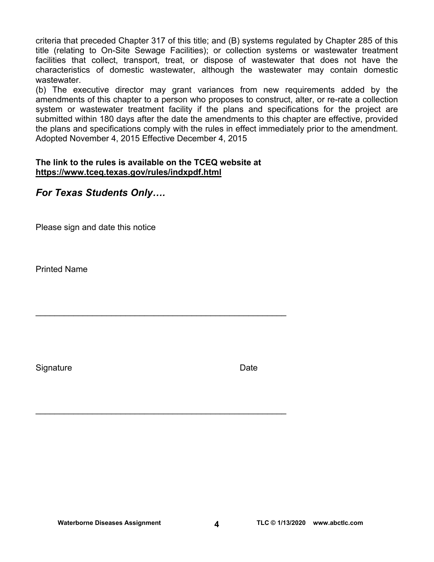criteria that preceded Chapter 317 of this title; and (B) systems regulated by Chapter 285 of this title (relating to On-Site Sewage Facilities); or collection systems or wastewater treatment facilities that collect, transport, treat, or dispose of wastewater that does not have the characteristics of domestic wastewater, although the wastewater may contain domestic wastewater.

(b) The executive director may grant variances from new requirements added by the amendments of this chapter to a person who proposes to construct, alter, or re-rate a collection system or wastewater treatment facility if the plans and specifications for the project are submitted within 180 days after the date the amendments to this chapter are effective, provided the plans and specifications comply with the rules in effect immediately prior to the amendment. Adopted November 4, 2015 Effective December 4, 2015

#### **The link to the rules is available on the TCEQ website at <https://www.tceq.texas.gov/rules/indxpdf.html>**

\_\_\_\_\_\_\_\_\_\_\_\_\_\_\_\_\_\_\_\_\_\_\_\_\_\_\_\_\_\_\_\_\_\_\_\_\_\_\_\_\_\_\_\_\_\_\_\_\_\_\_\_\_

\_\_\_\_\_\_\_\_\_\_\_\_\_\_\_\_\_\_\_\_\_\_\_\_\_\_\_\_\_\_\_\_\_\_\_\_\_\_\_\_\_\_\_\_\_\_\_\_\_\_\_\_\_

# *For Texas Students Only….*

Please sign and date this notice

Printed Name

Signature **Date**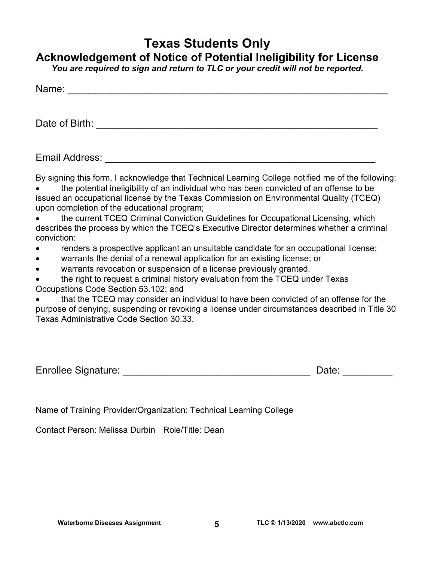# **Texas Students Only**

# **Acknowledgement of Notice of Potential Ineligibility for License**

*You are required to sign and return to TLC or your credit will not be reported.* 

| Name: |  |  |  |  |
|-------|--|--|--|--|
|       |  |  |  |  |
|       |  |  |  |  |

Date of Birth: \_\_\_\_\_\_\_\_\_\_\_\_\_\_\_\_\_\_\_\_\_\_\_\_\_\_\_\_\_\_\_\_\_\_\_\_\_\_\_\_\_\_\_\_\_\_\_\_\_\_\_

Email Address: \_\_\_\_\_\_\_\_\_\_\_\_\_\_\_\_\_\_\_\_\_\_\_\_\_\_\_\_\_\_\_\_\_\_\_\_\_\_\_\_\_\_\_\_\_\_\_\_\_

By signing this form, I acknowledge that Technical Learning College notified me of the following:

 the potential ineligibility of an individual who has been convicted of an offense to be issued an occupational license by the Texas Commission on Environmental Quality (TCEQ) upon completion of the educational program;

 the current TCEQ Criminal Conviction Guidelines for Occupational Licensing, which describes the process by which the TCEQ's Executive Director determines whether a criminal conviction:

- renders a prospective applicant an unsuitable candidate for an occupational license;
- warrants the denial of a renewal application for an existing license; or
- warrants revocation or suspension of a license previously granted.

 the right to request a criminal history evaluation from the TCEQ under Texas Occupations Code Section 53.102; and

 that the TCEQ may consider an individual to have been convicted of an offense for the purpose of denying, suspending or revoking a license under circumstances described in Title 30 Texas Administrative Code Section 30.33.

| <b>Enrollee Signature:</b> | Date. |  |
|----------------------------|-------|--|
|                            |       |  |

Name of Training Provider/Organization: Technical Learning College

Contact Person: Melissa Durbin Role/Title: Dean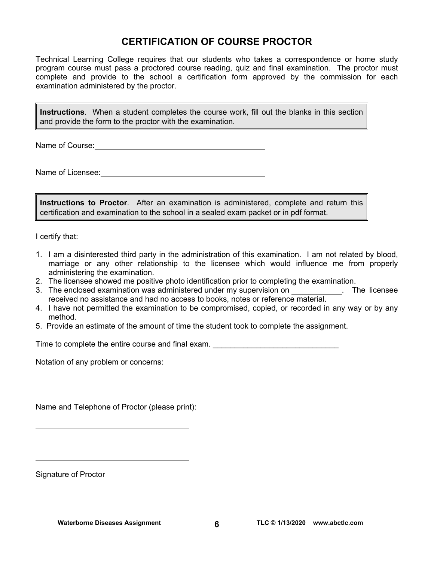# **CERTIFICATION OF COURSE PROCTOR**

Technical Learning College requires that our students who takes a correspondence or home study program course must pass a proctored course reading, quiz and final examination. The proctor must complete and provide to the school a certification form approved by the commission for each examination administered by the proctor.

**Instructions**. When a student completes the course work, fill out the blanks in this section and provide the form to the proctor with the examination.

Name of Course:  $\blacksquare$ 

Name of Licensee:  $\qquad \qquad \qquad$ 

**Instructions to Proctor**. After an examination is administered, complete and return this certification and examination to the school in a sealed exam packet or in pdf format.

I certify that:

- 1. I am a disinterested third party in the administration of this examination. I am not related by blood, marriage or any other relationship to the licensee which would influence me from properly administering the examination.
- 2. The licensee showed me positive photo identification prior to completing the examination.
- 3. The enclosed examination was administered under my supervision on . The licensee received no assistance and had no access to books, notes or reference material.
- 4. I have not permitted the examination to be compromised, copied, or recorded in any way or by any method.
- 5. Provide an estimate of the amount of time the student took to complete the assignment.

Time to complete the entire course and final exam. \_\_\_\_\_\_\_\_\_\_\_\_\_\_\_\_\_\_\_\_\_\_\_\_\_\_\_\_\_

Notation of any problem or concerns:

Name and Telephone of Proctor (please print):

Signature of Proctor

 $\overline{a}$ 

 $\overline{a}$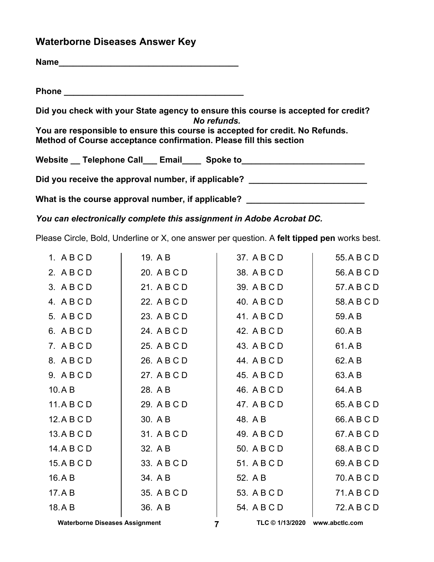# **Waterborne Diseases Answer Key**

| Did you check with your State agency to ensure this course is accepted for credit?<br>No refunds.                                                   |
|-----------------------------------------------------------------------------------------------------------------------------------------------------|
| You are responsible to ensure this course is accepted for credit. No Refunds.<br>Method of Course acceptance confirmation. Please fill this section |
| Website __ Telephone Call ___ Email ____ Spoke to ______________________________                                                                    |
| Did you receive the approval number, if applicable? ____________________________                                                                    |
| What is the course approval number, if applicable? __________________                                                                               |

*You can electronically complete this assignment in Adobe Acrobat DC.* 

Please Circle, Bold, Underline or X, one answer per question. A **felt tipped pen** works best.

| 1. ABCD     | 19. A B     | 37. A B C D | 55. A B C D |
|-------------|-------------|-------------|-------------|
| 2. ABCD     | 20. A B C D | 38. A B C D | 56.ABCD     |
| 3. ABCD     | 21. A B C D | 39. A B C D | 57.ABCD     |
| 4. ABCD     | 22. A B C D | 40. A B C D | 58. A B C D |
| 5. A B C D  | 23. A B C D | 41. A B C D | 59.AB       |
| 6. ABCD     | 24. A B C D | 42. A B C D | 60.AB       |
| 7. ABCD     | 25. A B C D | 43. A B C D | 61.AB       |
| 8. ABCD     | 26. A B C D | 44. A B C D | 62.AB       |
| 9. ABCD     | 27. A B C D | 45. A B C D | 63.AB       |
| 10.A B      | 28. A B     | 46. A B C D | 64.AB       |
| 11.A B C D  | 29. A B C D | 47. A B C D | 65.ABCD     |
| 12. A B C D | 30. A B     | 48. A B     | 66.ABCD     |
| 13.A B C D  | 31. A B C D | 49. A B C D | 67.ABCD     |
| 14. A B C D | 32. A B     | 50. A B C D | 68.ABCD     |
| 15.A B C D  | 33. A B C D | 51. A B C D | 69. A B C D |
| 16.AB       | 34. A B     | 52. A B     | 70. A B C D |
| 17.AB       | 35. A B C D | 53. A B C D | 71.ABCD     |
| 18.AB       | 36. A B     | 54. A B C D | 72. A B C D |
|             |             |             |             |

Waterborne Diseases Assignment **TLC © 1/13/2020** www.abctlc.com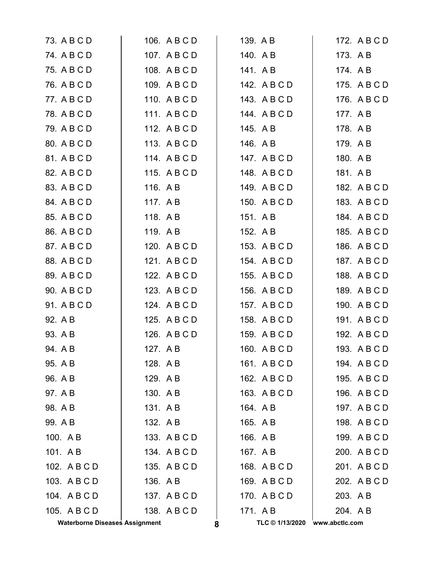| 73. A B C D                           | 106. A B C D | 139. A B        | 172. A B C D   |
|---------------------------------------|--------------|-----------------|----------------|
| 74. A B C D                           | 107. ABCD    | 140. A B        | 173. A B       |
| 75. A B C D                           | 108. A B C D | 141. A B        | 174. A B       |
| 76. A B C D                           | 109. A B C D | 142. A B C D    | 175. A B C D   |
| 77. A B C D                           | 110. ABCD    | 143. A B C D    | 176. A B C D   |
| 78. A B C D                           | 111. ABCD    | 144. A B C D    | 177. AB        |
| 79. A B C D                           | 112. A B C D | 145. A B        | 178. A B       |
| 80. A B C D                           | 113. A B C D | 146. A B        | 179. A B       |
| 81. A B C D                           | 114. ABCD    | 147. A B C D    | 180. A B       |
| 82. A B C D                           | 115. A B C D | 148. A B C D    | 181. AB        |
| 83. A B C D                           | 116. A B     | 149. A B C D    | 182. A B C D   |
| 84. A B C D                           | 117. A B     | 150. A B C D    | 183. A B C D   |
| 85. A B C D                           | 118. AB      | 151. AB         | 184. A B C D   |
| 86. A B C D                           | 119. AB      | 152. A B        | 185. A B C D   |
| 87. A B C D                           | 120. A B C D | 153. A B C D    | 186. A B C D   |
| 88. A B C D                           | 121. ABCD    | 154. A B C D    | 187. A B C D   |
| 89. A B C D                           | 122. A B C D | 155. A B C D    | 188. A B C D   |
| 90. A B C D                           | 123. A B C D | 156. A B C D    | 189. A B C D   |
| 91. A B C D                           | 124. A B C D | 157. A B C D    | 190. A B C D   |
| 92. A B                               | 125. A B C D | 158. A B C D    | 191. A B C D   |
| 93. A B                               | 126. A B C D | 159. A B C D    | 192. A B C D   |
| 94. A B                               | 127. A B     | 160. A B C D    | 193. A B C D   |
| 95. A B                               | 128. A B     | 161. ABCD       | 194. A B C D   |
| 96. A B                               | 129. AB      | 162. A B C D    | 195. A B C D   |
| 97. A B                               | 130. AB      | 163. ABCD       | 196. A B C D   |
| 98. A B                               | 131. AB      | 164. A B        | 197. ABCD      |
| 99. A B                               | 132. A B     | 165. A B        | 198. A B C D   |
| 100. A B                              | 133. A B C D | 166. A B        | 199. A B C D   |
| 101. AB                               | 134. ABCD    | 167. A B        | 200. ABCD      |
| 102. A B C D                          | 135. A B C D | 168. A B C D    | 201. ABCD      |
| 103. A B C D                          | 136. A B     | 169. A B C D    | 202. A B C D   |
| 104. ABCD                             | 137. ABCD    | 170. ABCD       | 203. A B       |
| 105. A B C D                          | 138. A B C D | 171. AB         | 204. AB        |
| <b>Waterborne Diseases Assignment</b> | 8            | TLC © 1/13/2020 | www.abctlc.com |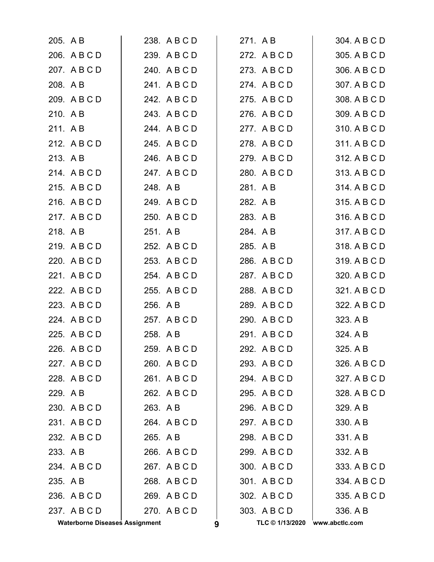| 205. A B |                                       | 238. A B C D |   | 271. A B        | 304. A B C D   |
|----------|---------------------------------------|--------------|---|-----------------|----------------|
|          | 206. A B C D                          | 239. ABCD    |   | 272. A B C D    | 305. A B C D   |
|          | 207. A B C D                          | 240. A B C D |   | 273. A B C D    | 306. A B C D   |
| 208. A B |                                       | 241. A B C D |   | 274. A B C D    | 307. A B C D   |
|          | 209. A B C D                          | 242. A B C D |   | 275. A B C D    | 308. A B C D   |
| 210. AB  |                                       | 243. A B C D |   | 276. ABCD       | 309. A B C D   |
| 211. AB  |                                       | 244. A B C D |   | 277. ABCD       | 310. A B C D   |
|          | 212. A B C D                          | 245. A B C D |   | 278. A B C D    | 311. A B C D   |
| 213. AB  |                                       | 246. A B C D |   | 279. A B C D    | 312. A B C D   |
|          | 214. A B C D                          | 247. ABCD    |   | 280. A B C D    | 313. A B C D   |
|          | 215. ABCD                             | 248. A B     |   | 281. A B        | 314. A B C D   |
|          | 216. A B C D                          | 249. A B C D |   | 282. A B        | 315. A B C D   |
|          | 217. ABCD                             | 250. A B C D |   | 283. AB         | 316. A B C D   |
| 218. AB  |                                       | 251. A B     |   | 284. A B        | 317. A B C D   |
|          | 219. ABCD                             | 252. A B C D |   | 285. A B        | 318. A B C D   |
|          | 220. A B C D                          | 253. A B C D |   | 286. A B C D    | 319. A B C D   |
|          | 221. A B C D                          | 254. A B C D |   | 287. A B C D    | 320. A B C D   |
|          | 222. A B C D                          | 255. A B C D |   | 288. A B C D    | 321. A B C D   |
|          | 223. A B C D                          | 256. A B     |   | 289. A B C D    | 322. A B C D   |
|          | 224. A B C D                          | 257. A B C D |   | 290. A B C D    | 323. A B       |
|          | 225. A B C D                          | 258. AB      |   | 291. A B C D    | 324. A B       |
|          | 226. A B C D                          | 259. ABCD    |   | 292. A B C D    | 325. A B       |
|          | 227. ABCD                             | 260. A B C D |   | 293. ABCD       | 326. A B C D   |
|          | 228. A B C D                          | 261. ABCD    |   | 294. A B C D    | 327. A B C D   |
| 229. A B |                                       | 262. A B C D |   | 295. A B C D    | 328. A B C D   |
|          | 230. ABCD                             | 263. AB      |   | 296. A B C D    | 329. A B       |
|          | 231. ABCD                             | 264. A B C D |   | 297. A B C D    | 330. A B       |
|          | 232. A B C D                          | 265. A B     |   | 298. A B C D    | 331. A B       |
| 233. A B |                                       | 266. A B C D |   | 299. A B C D    | 332. A B       |
|          | 234. A B C D                          | 267. A B C D |   | 300. A B C D    | 333. A B C D   |
| 235. A B |                                       | 268. A B C D |   | 301. A B C D    | 334. A B C D   |
|          | 236. A B C D                          | 269. A B C D |   | 302. A B C D    | 335. A B C D   |
|          | 237. A B C D                          | 270. A B C D |   | 303. A B C D    | 336. A B       |
|          | <b>Waterborne Diseases Assignment</b> |              | 9 | TLC © 1/13/2020 | www.abctlc.com |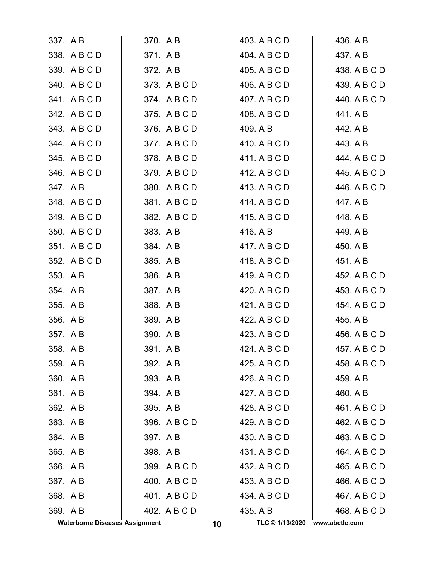|          | <b>Waterborne Diseases Assignment</b> |          |              | 10 | TLC © 1/13/2020 www.abctlc.com |              |
|----------|---------------------------------------|----------|--------------|----|--------------------------------|--------------|
| 369. A B |                                       |          | 402. A B C D |    | 435. A B                       | 468. A B C D |
| 368. A B |                                       |          | 401. ABCD    |    | 434. A B C D                   | 467. A B C D |
| 367. A B |                                       |          | 400. A B C D |    | 433. A B C D                   | 466. A B C D |
| 366. A B |                                       |          | 399. A B C D |    | 432. A B C D                   | 465. A B C D |
| 365. A B |                                       | 398. AB  |              |    | 431. A B C D                   | 464. A B C D |
| 364. AB  |                                       | 397. A B |              |    | 430. A B C D                   | 463. A B C D |
| 363. AB  |                                       |          | 396. A B C D |    | 429. A B C D                   | 462. A B C D |
| 362. A B |                                       | 395. A B |              |    | 428. A B C D                   | 461. A B C D |
| 361. AB  |                                       | 394. AB  |              |    | 427. A B C D                   | 460. A B     |
| 360. A B |                                       | 393. A B |              |    | 426. A B C D                   | 459. A B     |
| 359. A B |                                       | 392. AB  |              |    | 425. A B C D                   | 458. A B C D |
| 358. AB  |                                       | 391. AB  |              |    | 424, A B C D                   | 457. A B C D |
| 357. AB  |                                       | 390. AB  |              |    | 423. A B C D                   | 456. A B C D |
| 356. A B |                                       | 389. AB  |              |    | 422. A B C D                   | 455. A B     |
| 355. A B |                                       | 388. AB  |              |    | 421. A B C D                   | 454. A B C D |
| 354. AB  |                                       | 387. A B |              |    | 420. A B C D                   | 453. A B C D |
| 353. A B |                                       | 386. A B |              |    | 419. A B C D                   | 452. A B C D |
|          | 352. A B C D                          | 385. A B |              |    | 418. A B C D                   | 451. A B     |
|          | 351. ABCD                             | 384. A B |              |    | 417. A B C D                   | 450. A B     |
|          | 350. A B C D                          | 383. A B |              |    | 416. A B                       | 449. A B     |
|          | 349. ABCD                             |          | 382. A B C D |    | 415. A B C D                   | 448. A B     |
|          | 348. A B C D                          |          | 381. A B C D |    | 414. A B C D                   | 447. A B     |
| 347. AB  |                                       |          | 380. A B C D |    | 413. A B C D                   | 446. A B C D |
|          | 346. A B C D                          |          | 379. ABCD    |    | 412. A B C D                   | 445. A B C D |
|          | 345. A B C D                          |          | 378. A B C D |    | 411. A B C D                   | 444. A B C D |
|          | 344. A B C D                          |          | 377. ABCD    |    | 410. A B C D                   | 443. A B     |
|          | 343. A B C D                          |          | 376. A B C D |    | 409. A B                       | 442. A B     |
|          | 342. A B C D                          |          | 375. A B C D |    | 408. A B C D                   | 441. A B     |
|          | 341. A B C D                          |          | 374. A B C D |    | 407. A B C D                   | 440. A B C D |
|          | 340. A B C D                          |          | 373. A B C D |    | 406. A B C D                   | 439. A B C D |
|          | 339. ABCD                             | 372. A B |              |    | 405. A B C D                   | 438. A B C D |
|          | 338. A B C D                          | 371. AB  |              |    | 404. A B C D                   | 437. A B     |
| 337. A B |                                       | 370. A B |              |    | 403. A B C D                   | 436. A B     |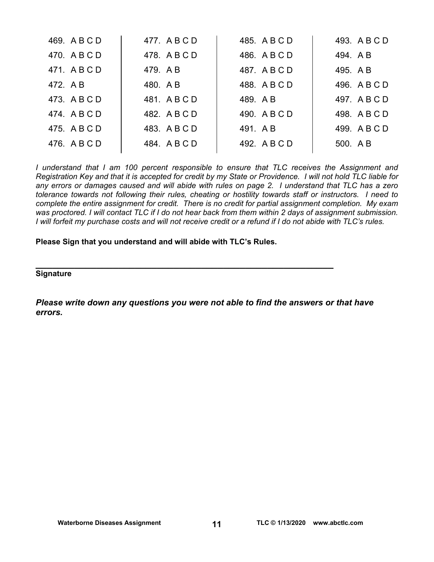| 469. A B C D | 477. ABCD    | 485. A B C D | 493. A B C D |
|--------------|--------------|--------------|--------------|
| 470. A B C D | 478. ABCD    | 486. A B C D | 494. AB      |
| 471. A B C D | 479. AB      | 487. A B C D | 495. A B     |
| 472. A B     | 480. AB      | 488. A B C D | 496. A B C D |
| 473. A B C D | 481. ABCD    | 489. AB      | 497. A B C D |
| 474. A B C D | 482. A B C D | 490. A B C D | 498. A B C D |
| 475. A B C D | 483. A B C D | 491. AB      | 499. A B C D |
| 476. A B C D | 484. A B C D | 492. A B C D | 500. A B     |
|              |              |              |              |

*I understand that I am 100 percent responsible to ensure that TLC receives the Assignment and Registration Key and that it is accepted for credit by my State or Providence. I will not hold TLC liable for any errors or damages caused and will abide with rules on page 2. I understand that TLC has a zero tolerance towards not following their rules, cheating or hostility towards staff or instructors. I need to complete the entire assignment for credit. There is no credit for partial assignment completion. My exam was proctored. I will contact TLC if I do not hear back from them within 2 days of assignment submission. I will forfeit my purchase costs and will not receive credit or a refund if I do not abide with TLC's rules.* 

**Please Sign that you understand and will abide with TLC's Rules.** 

**\_\_\_\_\_\_\_\_\_\_\_\_\_\_\_\_\_\_\_\_\_\_\_\_\_\_\_\_\_\_\_\_\_\_\_\_\_\_\_\_\_\_\_\_\_\_\_\_\_\_\_\_\_\_ Signature** 

*Please write down any questions you were not able to find the answers or that have errors.*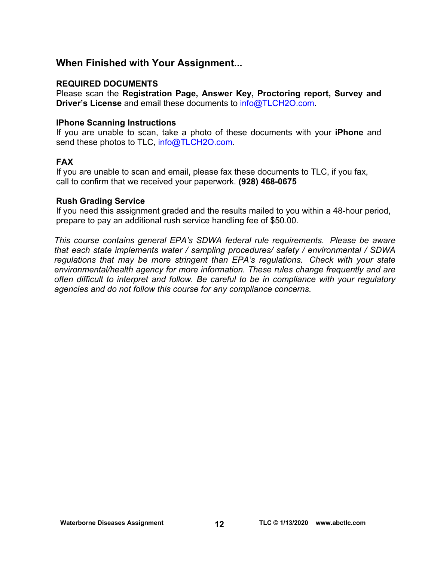# **When Finished with Your Assignment...**

### **REQUIRED DOCUMENTS**

Please scan the **Registration Page, Answer Key, Proctoring report, Survey and Driver's License** and email these documents to [info@TLCH2O.com.](mailto:info@TLCH2O.com) 

#### **IPhone Scanning Instructions**

If you are unable to scan, take a photo of these documents with your **iPhone** and send these photos to TLC, info@TLCH2O.com.

## **FAX**

If you are unable to scan and email, please fax these documents to TLC, if you fax, call to confirm that we received your paperwork. **(928) 468-0675** 

#### **Rush Grading Service**

If you need this assignment graded and the results mailed to you within a 48-hour period, prepare to pay an additional rush service handling fee of \$50.00.

*This course contains general EPA's SDWA federal rule requirements. Please be aware that each state implements water / sampling procedures/ safety / environmental / SDWA regulations that may be more stringent than EPA's regulations. Check with your state environmental/health agency for more information. These rules change frequently and are often difficult to interpret and follow. Be careful to be in compliance with your regulatory agencies and do not follow this course for any compliance concerns.*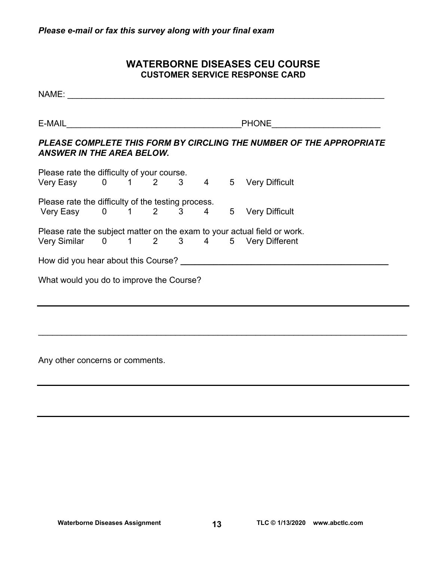# **WATERBORNE DISEASES CEU COURSE CUSTOMER SERVICE RESPONSE CARD**

| NAME: NAME                               |  |  |  |                                                                                                  |
|------------------------------------------|--|--|--|--------------------------------------------------------------------------------------------------|
|                                          |  |  |  | PHONE _________________________                                                                  |
| <b>ANSWER IN THE AREA BELOW.</b>         |  |  |  | PLEASE COMPLETE THIS FORM BY CIRCLING THE NUMBER OF THE APPROPRIATE                              |
|                                          |  |  |  |                                                                                                  |
|                                          |  |  |  | Please rate the difficulty of your course.<br>Very Easy    0   1   2   3   4   5  Very Difficult |
|                                          |  |  |  | Please rate the difficulty of the testing process.<br>Very Easy 0 1 2 3 4 5 Very Difficult       |
|                                          |  |  |  |                                                                                                  |
|                                          |  |  |  | Please rate the subject matter on the exam to your actual field or work.                         |
|                                          |  |  |  | Very Similar 0 1 2 3 4 5 Very Different                                                          |
|                                          |  |  |  |                                                                                                  |
| What would you do to improve the Course? |  |  |  |                                                                                                  |
|                                          |  |  |  |                                                                                                  |
|                                          |  |  |  |                                                                                                  |
|                                          |  |  |  |                                                                                                  |

 $\mathcal{L}_\mathcal{L} = \mathcal{L}_\mathcal{L} = \mathcal{L}_\mathcal{L} = \mathcal{L}_\mathcal{L} = \mathcal{L}_\mathcal{L} = \mathcal{L}_\mathcal{L} = \mathcal{L}_\mathcal{L} = \mathcal{L}_\mathcal{L} = \mathcal{L}_\mathcal{L} = \mathcal{L}_\mathcal{L} = \mathcal{L}_\mathcal{L} = \mathcal{L}_\mathcal{L} = \mathcal{L}_\mathcal{L} = \mathcal{L}_\mathcal{L} = \mathcal{L}_\mathcal{L} = \mathcal{L}_\mathcal{L} = \mathcal{L}_\mathcal{L}$ 

Any other concerns or comments.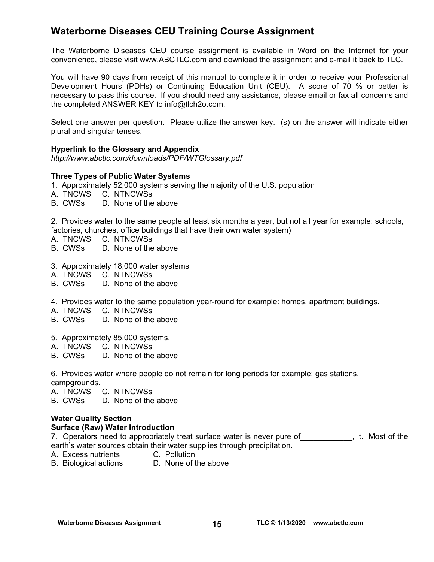# **Waterborne Diseases CEU Training Course Assignment**

The Waterborne Diseases CEU course assignment is available in Word on the Internet for your convenience, please visit [www.ABCTLC.com an](http://www.ABCTLC.com)d download the assignment and e-mail it back to TLC.

You will have 90 days from receipt of this manual to complete it in order to receive your Professional Development Hours (PDHs) or Continuing Education Unit (CEU). A score of 70 % or better is necessary to pass this course. If you should need any assistance, please email or fax all concerns and the completed ANSWER KEY to [info@tlch2o.com.](mailto:info@tlch2o.com) 

Select one answer per question. Please utilize the answer key. (s) on the answer will indicate either plural and singular tenses.

#### **Hyperlink to the Glossary and Appendix**

*<http://www.abctlc.com/downloads/PDF/WTGlossary.pdf>*

#### **Three Types of Public Water Systems**

- 1.Approximately 52,000 systems serving the majority of the U.S. population
- A. TNCWS C. NTNCWSs
- B. CWSs D. None of the above

2.Provides water to the same people at least six months a year, but not all year for example: schools, factories, churches, office buildings that have their own water system)

- A. TNCWS C. NTNCWSs
- B. CWSs D. None of the above
- 3. Approximately 18,000 water systems
- A. TNCWS C. NTNCWSs
- B. CWSs D. None of the above
- 4. Provides water to the same population year-round for example: homes, apartment buildings.
- A. TNCWS C. NTNCWSs
- B. CWSs D. None of the above
- 5. Approximately 85,000 systems.
- A. TNCWS C. NTNCWSs
- D. None of the above

6. Provides water where people do not remain for long periods for example: gas stations, campgrounds.

A. TNCWS C. NTNCWSs

B. CWSs D. None of the above

## **Water Quality Section**

#### **Surface (Raw) Water Introduction**

7. Operators need to appropriately treat surface water is never pure of warrally it. Most of the earth's water sources obtain their water supplies through precipitation.

- A. Excess nutrients C. Pollution
- B. Biological actions D. None of the above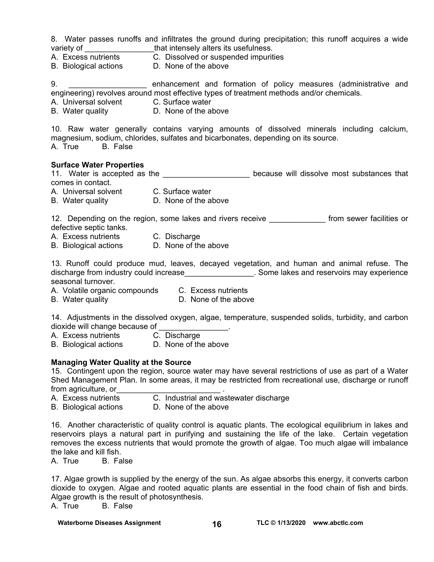8. Water passes runoffs and infiltrates the ground during precipitation; this runoff acquires a wide variety of \_\_\_\_\_\_\_\_\_\_\_\_\_\_\_\_\_\_\_\_that intensely alters its usefulness.

- A. Excess nutrients C. Dissolved or suspended impurities
- B. Biological actions D. None of the above

9. \_\_\_\_\_\_\_\_\_\_\_\_\_\_\_\_\_\_\_\_ enhancement and formation of policy measures (administrative and engineering) revolves around most effective types of treatment methods and/or chemicals.

A. Universal solvent C. Surface water

B. Water quality **D.** None of the above

10. Raw water generally contains varying amounts of dissolved minerals including calcium, magnesium, sodium, chlorides, sulfates and bicarbonates, depending on its source. A. True B. False

#### **Surface Water Properties**

11. Water is accepted as the \_\_\_\_\_\_\_\_\_\_\_\_\_\_\_\_\_\_\_\_\_\_\_ because will dissolve most substances that comes in contact.

- A. Universal solvent C. Surface water
- B. Water quality **D.** None of the above

12. Depending on the region, some lakes and rivers receive **the act and really from sewer facilities or** defective septic tanks.

- A. Excess nutrients C. Discharge
- B. Biological actions D. None of the above

13. Runoff could produce mud, leaves, decayed vegetation, and human and animal refuse. The discharge from industry could increase **Exercise 1. Some lakes and reservoirs may experience** seasonal turnover.

- A. Volatile organic compounds C. Excess nutrients
- B. Water quality **D.** None of the above

14. Adjustments in the dissolved oxygen, algae, temperature, suspended solids, turbidity, and carbon dioxide will change because of \_\_\_\_\_\_\_\_\_\_\_\_\_\_\_\_.

- A. Excess nutrients C. Discharge
- B. Biological actions D. None of the above

#### **Managing Water Quality at the Source**

15. Contingent upon the region, source water may have several restrictions of use as part of a Water Shed Management Plan. In some areas, it may be restricted from recreational use, discharge or runoff from agriculture, or

- A. Excess nutrients C. Industrial and wastewater discharge
- B. Biological actions D. None of the above

16. Another characteristic of quality control is aquatic plants. The ecological equilibrium in lakes and reservoirs plays a natural part in purifying and sustaining the life of the lake. Certain vegetation removes the excess nutrients that would promote the growth of algae. Too much algae will imbalance the lake and kill fish.

A. True B. False

17. Algae growth is supplied by the energy of the sun. As algae absorbs this energy, it converts carbon dioxide to oxygen. Algae and rooted aquatic plants are essential in the food chain of fish and birds. Algae growth is the result of photosynthesis.

A. True B. False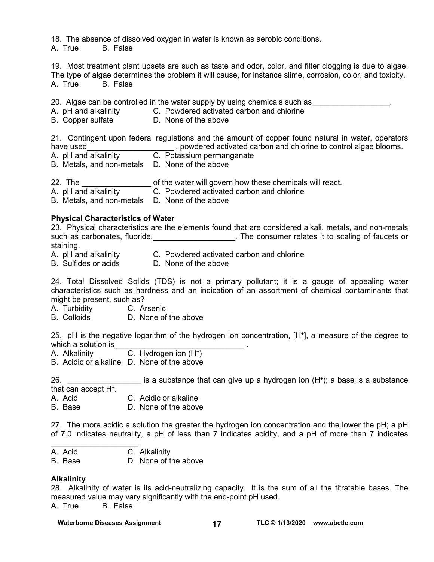18. The absence of dissolved oxygen in water is known as aerobic conditions.

A. True B. False

19. Most treatment plant upsets are such as taste and odor, color, and filter clogging is due to algae. The type of algae determines the problem it will cause, for instance slime, corrosion, color, and toxicity. A. True B. False

20. Algae can be controlled in the water supply by using chemicals such as

- A. pH and alkalinity C. Powdered activated carbon and chlorine
- B. Copper sulfate D. None of the above

21. Contingent upon federal regulations and the amount of copper found natural in water, operators have used **the used** summary resolution of the setter of a control algae blooms.

- A. pH and alkalinity C. Potassium permanganate
- B. Metals, and non-metals D. None of the above

22. The \_\_\_\_\_\_\_\_\_\_\_\_\_\_\_\_ of the water will govern how these chemicals will react.

- C. Powdered activated carbon and chlorine
- B. Metals, and non-metals D. None of the above

#### **Physical Characteristics of Water**

23. Physical characteristics are the elements found that are considered alkali, metals, and non-metals such as carbonates, fluoride, \_\_\_\_\_\_\_\_\_\_\_\_\_\_\_\_\_\_\_. The consumer relates it to scaling of faucets or staining.<br>A. pH and alkalinity

- A. pH and alkalinity C. Powdered activated carbon and chlorine<br>B. Sulfides or acids C. None of the above
- D. None of the above

24. Total Dissolved Solids (TDS) is not a primary pollutant; it is a gauge of appealing water characteristics such as hardness and an indication of an assortment of chemical contaminants that might be present, such as?

- A. Turbidity C. Arsenic
- B. Colloids D. None of the above

25. pH is the negative logarithm of the hydrogen ion concentration, [H+], a measure of the degree to which a solution is

- A. Alkalinity C. Hydrogen ion (H+)
- B. Acidic or alkaline D. None of the above

26.  $\blacksquare$  is a substance that can give up a hydrogen ion  $(H^+)$ ; a base is a substance

that can accept H<sup>+</sup>.<br>A. Acid

- C. Acidic or alkaline
- B. Base D. None of the above

27. The more acidic a solution the greater the hydrogen ion concentration and the lower the pH; a pH of 7.0 indicates neutrality, a pH of less than 7 indicates acidity, and a pH of more than 7 indicates

A. Acid C. Alkalinity

 $\mathcal{L}_\text{max}$  and  $\mathcal{L}_\text{max}$  and  $\mathcal{L}_\text{max}$ 

B. Base D. None of the above

#### **Alkalinity**

28. Alkalinity of water is its acid-neutralizing capacity. It is the sum of all the titratable bases. The measured value may vary significantly with the end-point pH used. A. True B. False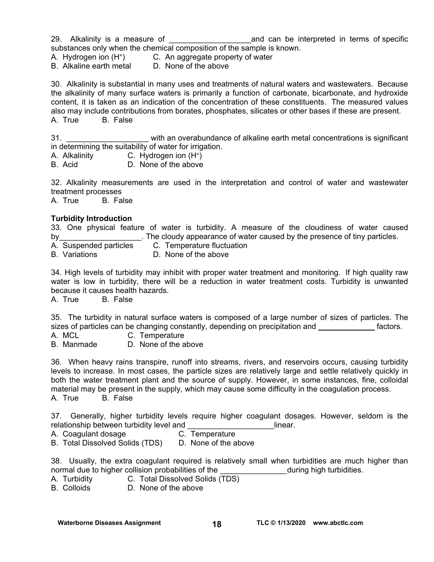29. Alkalinity is a measure of **Exercise 20** and can be interpreted in terms of specific substances only when the chemical composition of the sample is known.

A. Hydrogen ion (H+) C. An aggregate property of water

B. Alkaline earth metal D. None of the above

30. Alkalinity is substantial in many uses and treatments of natural waters and wastewaters. Because the alkalinity of many surface waters is primarily a function of carbonate, bicarbonate, and hydroxide content, it is taken as an indication of the concentration of these constituents. The measured values also may include contributions from borates, phosphates, silicates or other bases if these are present. A. True B. False

31. \_\_\_\_\_\_\_\_\_\_\_\_\_\_\_\_\_\_\_ with an overabundance of alkaline earth metal concentrations is significant in determining the suitability of water for irrigation.

A. Alkalinity **C.** Hydrogen ion  $(H^+)$ 

B. Acid D. None of the above

32. Alkalinity measurements are used in the interpretation and control of water and wastewater treatment processes

A. True B. False

#### **Turbidity Introduction**

33. One physical feature of water is turbidity. A measure of the cloudiness of water caused by\_\_\_\_\_\_\_\_\_\_\_\_\_\_\_\_\_\_\_\_\_. The cloudy appearance of water caused by the presence of tiny particles.

A. Suspended particles C. Temperature fluctuation<br>B. Variations D. None of the above

D. None of the above

34. High levels of turbidity may inhibit with proper water treatment and monitoring. If high quality raw water is low in turbidity, there will be a reduction in water treatment costs. Turbidity is unwanted because it causes health hazards.

A. True B. False

35. The turbidity in natural surface waters is composed of a large number of sizes of particles. The sizes of particles can be changing constantly, depending on precipitation and **we are constantly** factors.

A. MCL C. Temperature

B. Manmade D. None of the above

36. When heavy rains transpire, runoff into streams, rivers, and reservoirs occurs, causing turbidity levels to increase. In most cases, the particle sizes are relatively large and settle relatively quickly in both the water treatment plant and the source of supply. However, in some instances, fine, colloidal material may be present in the supply, which may cause some difficulty in the coagulation process. A. True B. False

37. Generally, higher turbidity levels require higher coagulant dosages. However, seldom is the relationship between turbidity level and **Example 2018** 1 linear.

A. Coagulant dosage C. Temperature

B. Total Dissolved Solids (TDS) D. None of the above

38. Usually, the extra coagulant required is relatively small when turbidities are much higher than normal due to higher collision probabilities of the during high turbidities.

- A. Turbidity C. Total Dissolved Solids (TDS)
- B. Colloids D. None of the above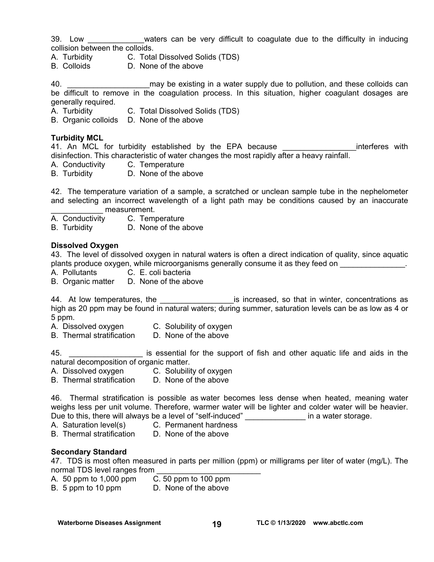39. Low \_\_\_\_\_\_\_\_\_\_\_\_\_waters can be very difficult to coagulate due to the difficulty in inducing collision between the colloids.

- A. Turbidity C. Total Dissolved Solids (TDS)
- B. Colloids D. None of the above

40. **Example 20. Alternary be existing in a water supply due to pollution, and these colloids can** be difficult to remove in the coagulation process. In this situation, higher coagulant dosages are generally required.

A. Turbidity C. Total Dissolved Solids (TDS)

B. Organic colloids D. None of the above

#### **Turbidity MCL**

41. An MCL for turbidity established by the EPA because **EXALL SECONG EXAM** interferes with disinfection. This characteristic of water changes the most rapidly after a heavy rainfall.

- A. Conductivity C. Temperature
- B. Turbidity D. None of the above

42. The temperature variation of a sample, a scratched or unclean sample tube in the nephelometer and selecting an incorrect wavelength of a light path may be conditions caused by an inaccurate measurement.

A. Conductivity C. Temperature

B. Turbidity D. None of the above

#### **Dissolved Oxygen**

43. The level of dissolved oxygen in natural waters is often a direct indication of quality, since aquatic plants produce oxygen, while microorganisms generally consume it as they feed on  $\blacksquare$ 

A. Pollutants C. E. coli bacteria

B. Organic matter D. None of the above

44. At low temperatures, the \_\_\_\_\_\_\_\_\_\_\_\_\_\_\_\_\_\_\_\_\_\_\_is increased, so that in winter, concentrations as high as 20 ppm may be found in natural waters; during summer, saturation levels can be as low as 4 or 5 ppm.

A. Dissolved oxygen C. Solubility of oxygen

B. Thermal stratification D. None of the above

45. \_\_\_\_\_\_\_\_\_\_\_\_\_\_\_\_\_ is essential for the support of fish and other aquatic life and aids in the natural decomposition of organic matter.

A. Dissolved oxygen C. Solubility of oxygen

B. Thermal stratification D. None of the above

46. Thermal stratification is possible as water becomes less dense when heated, meaning water weighs less per unit volume. Therefore, warmer water will be lighter and colder water will be heavier. Due to this, there will always be a level of "self-induced" \_\_\_\_\_\_\_\_\_\_\_\_\_\_\_ in a water storage.

A. Saturation level(s) C. Permanent hardness

B. Thermal stratification D. None of the above

#### **Secondary Standard**

47. TDS is most often measured in parts per million (ppm) or milligrams per liter of water (mg/L). The normal TDS level ranges from

A. 50 ppm to 1,000 ppm C. 50 ppm to 100 ppm

B. 5 ppm to 10 ppm D. None of the above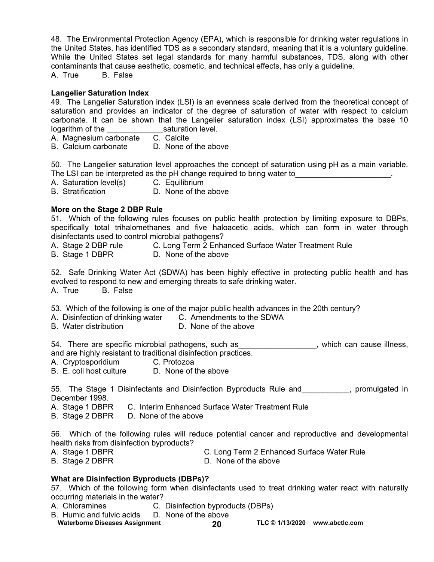48. The Environmental Protection Agency (EPA), which is responsible for drinking water regulations in the United States, has identified TDS as a secondary standard, meaning that it is a voluntary guideline. While the United States set legal standards for many harmful substances, TDS, along with other contaminants that cause aesthetic, cosmetic, and technical effects, has only a guideline.

A. True B. False

#### **Langelier Saturation Index**

49. The Langelier Saturation index (LSI) is an evenness scale derived from the theoretical concept of saturation and provides an indicator of the degree of saturation of water with respect to calcium carbonate. It can be shown that the Langelier saturation index (LSI) approximates the base 10 logarithm of the saturation level.

A. Magnesium carbonate C. Calcite

B. Calcium carbonate D. None of the above

50. The Langelier saturation level approaches the concept of saturation using pH as a main variable. The LSI can be interpreted as the pH change required to bring water to **with the same of the set of the set of** 

A. Saturation level(s) C. Equilibrium<br>B. Stratification D. None of the

D. None of the above

#### **More on the Stage 2 DBP Rule**

51. Which of the following rules focuses on public health protection by limiting exposure to DBPs, specifically total trihalomethanes and five haloacetic acids, which can form in water through disinfectants used to control microbial pathogens?

- A. Stage 2 DBP rule C. Long Term 2 Enhanced Surface Water Treatment Rule
- B. Stage 1 DBPR D. None of the above

52. Safe Drinking Water Act (SDWA) has been highly effective in protecting public health and has evolved to respond to new and emerging threats to safe drinking water.

A. True B. False

53. Which of the following is one of the major public health advances in the 20th century?

- A. Disinfection of drinking water C. Amendments to the SDWA
- B. Water distribution D. None of the above

54. There are specific microbial pathogens, such as \_\_\_\_\_\_\_\_\_\_\_\_\_\_\_\_\_, which can cause illness, and are highly resistant to traditional disinfection practices.

- A. Cryptosporidium C. Protozoa
- B. E. coli host culture D. None of the above

55. The Stage 1 Disinfectants and Disinfection Byproducts Rule and The Stage 1 Disinfectants and Disinfection Byproducts Rule and December 1998.

- A. Stage 1 DBPR C. Interim Enhanced Surface Water Treatment Rule
- B. Stage 2 DBPR D. None of the above

56. Which of the following rules will reduce potential cancer and reproductive and developmental health risks from disinfection byproducts?

- A. Stage 1 DBPR C. Long Term 2 Enhanced Surface Water Rule
- B. Stage 2 DBPR D. None of the above

#### **What are Disinfection Byproducts (DBPs)?**

57. Which of the following form when disinfectants used to treat drinking water react with naturally occurring materials in the water?

- A. Chloramines C. Disinfection byproducts (DBPs)
- Waterborne Diseases Assignment **20** TLC © 1/13/2020 www.abctlc.com B. Humic and fulvic acids D. None of the above
	-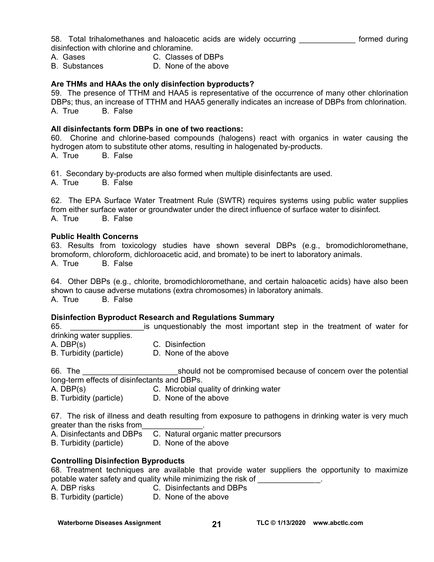58. Total trihalomethanes and haloacetic acids are widely occurring \_\_\_\_\_\_\_\_\_\_\_\_\_ formed during disinfection with chlorine and chloramine.

- 
- A. Gases C. Classes of DBPs
- B. Substances D. None of the above

#### **Are THMs and HAAs the only disinfection byproducts?**

59. The presence of TTHM and HAA5 is representative of the occurrence of many other chlorination DBPs; thus, an increase of TTHM and HAA5 generally indicates an increase of DBPs from chlorination. A. True B. False

#### **All disinfectants form DBPs in one of two reactions:**

60. Chorine and chlorine-based compounds (halogens) react with organics in water causing the hydrogen atom to substitute other atoms, resulting in halogenated by-products.

A. True B. False

61. Secondary by-products are also formed when multiple disinfectants are used.

A. True B. False

62. The EPA Surface Water Treatment Rule (SWTR) requires systems using public water supplies from either surface water or groundwater under the direct influence of surface water to disinfect. A. True B. False

#### **Public Health Concerns**

63. Results from toxicology studies have shown several DBPs (e.g., bromodichloromethane, bromoform, chloroform, dichloroacetic acid, and bromate) to be inert to laboratory animals. A. True B. False

64. Other DBPs (e.g., chlorite, bromodichloromethane, and certain haloacetic acids) have also been shown to cause adverse mutations (extra chromosomes) in laboratory animals. A. True B. False

#### **Disinfection Byproduct Research and Regulations Summary**

65. **Example 12** is unquestionably the most important step in the treatment of water for drinking water supplies.

A. DBP(s) C. Disinfection

B. Turbidity (particle) D. None of the above

66. The **Example 20** should not be compromised because of concern over the potential long-term effects of disinfectants and DBPs.

- A. DBP(s) C. Microbial quality of drinking water<br>B. Turbidity (particle) D. None of the above
- B. Turbidity (particle)

67. The risk of illness and death resulting from exposure to pathogens in drinking water is very much greater than the risks from

- A. Disinfectants and DBPs C. Natural organic matter precursors
- B. Turbidity (particle) D. None of the above

#### **Controlling Disinfection Byproducts**

68. Treatment techniques are available that provide water suppliers the opportunity to maximize potable water safety and quality while minimizing the risk of

A. DBP risks C. Disinfectants and DBPs

B. Turbidity (particle) D. None of the above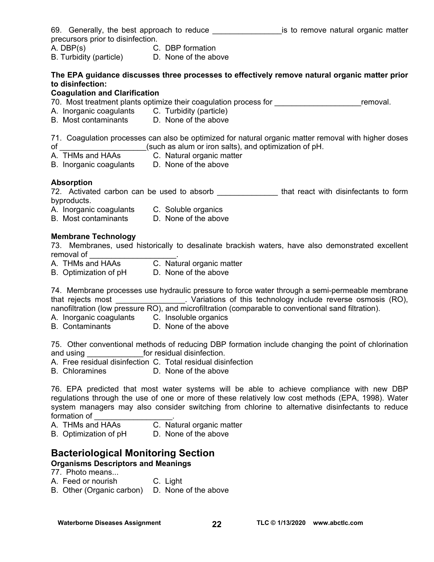| 69. Generally, the best approach to reduce |                  |  | is to remove natural organic matter |  |
|--------------------------------------------|------------------|--|-------------------------------------|--|
| precursors prior to disinfection.          |                  |  |                                     |  |
| A. DBP(s)                                  | C. DBP formation |  |                                     |  |

B. Turbidity (particle) D. None of the above

#### **The EPA guidance discusses three processes to effectively remove natural organic matter prior to disinfection:**

#### **Coagulation and Clarification**

70. Most treatment plants optimize their coagulation process for Theorem 2011 Fremoval.

- A. Inorganic coagulants C. Turbidity (particle)
- B. Most contaminants D. None of the above

71. Coagulation processes can also be optimized for natural organic matter removal with higher doses of  $\qquad \qquad$  (such as alum or iron salts), and optimization of pH.

- A. THMs and HAAs C. Natural organic matter
- B. Inorganic coagulants D. None of the above

#### **Absorption**

72. Activated carbon can be used to absorb **that react with disinfectants to form** byproducts.

- A. Inorganic coagulants C. Soluble organics
- B. Most contaminants D. None of the above

#### **Membrane Technology**

73. Membranes, used historically to desalinate brackish waters, have also demonstrated excellent removal of

- A. THMs and HAAs C. Natural organic matter
- B. Optimization of pH D. None of the above

74. Membrane processes use hydraulic pressure to force water through a semi-permeable membrane that rejects most \_\_\_\_\_\_\_\_\_\_\_\_\_\_\_\_. Variations of this technology include reverse osmosis (RO), nanofiltration (low pressure RO), and microfiltration (comparable to conventional sand filtration).

- A. Inorganic coagulants C. Insoluble organics
- B. Contaminants D. None of the above

75. Other conventional methods of reducing DBP formation include changing the point of chlorination and using and using the state of the state of the state of the state of the state of the state of the state of the state of the state of the state of the state of the state of the state of the state of the state of the sta

- A. Free residual disinfection C. Total residual disinfection
- B. Chloramines D. None of the above

76. EPA predicted that most water systems will be able to achieve compliance with new DBP regulations through the use of one or more of these relatively low cost methods (EPA, 1998). Water system managers may also consider switching from chlorine to alternative disinfectants to reduce formation of

A. THMs and HAAs C. Natural organic matter

B. Optimization of pH D. None of the above

# **Bacteriological Monitoring Section**

## **Organisms Descriptors and Meanings**

77. Photo means...

A. Feed or nourish C. Light

B. Other (Organic carbon) D. None of the above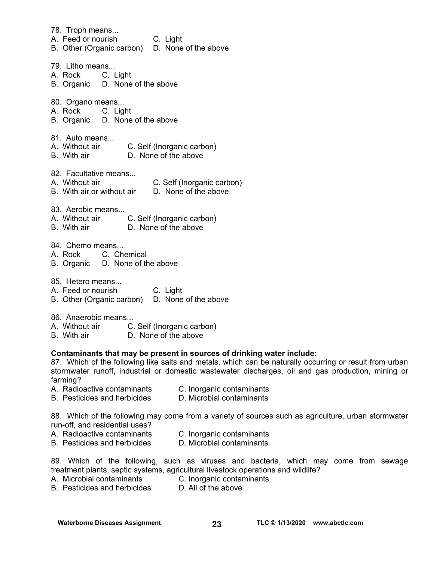78. Troph means... A. Feed or nourish C. Light B. Other (Organic carbon) D. None of the above 79. Litho means... A. Rock C. Light B. Organic D. None of the above 80. Organo means... A. Rock C. Light B. Organic D. None of the above 81. Auto means... A. Without air C. Self (Inorganic carbon) B. With air D. None of the above 82. Facultative means... A. Without air **C. Self (Inorganic carbon)**<br>B. With air or without air **D. None of the above** B. With air or without air 83. Aerobic means... A. Without air C. Self (Inorganic carbon) B. With air D. None of the above 84. Chemo means...<br>A. Rock C. Ch C. Chemical B. Organic D. None of the above 85. Hetero means... A. Feed or nourish C. Light B. Other (Organic carbon) D. None of the above 86. Anaerobic means A. Without air C. Self (Inorganic carbon) B. With air D. None of the above **Contaminants that may be present in sources of drinking water include:**  87. Which of the following like salts and metals, which can be naturally occurring or result from urban stormwater runoff, industrial or domestic wastewater discharges, oil and gas production, mining or farming? A. Radioactive contaminants C. Inorganic contaminants<br>
B. Pesticides and herbicides D. Microbial contaminants B. Pesticides and herbicides 88. Which of the following may come from a variety of sources such as agriculture, urban stormwater run-off, and residential uses? A. Radioactive contaminants C. Inorganic contaminants B. Pesticides and herbicides D. Microbial contaminants 89. Which of the following, such as viruses and bacteria, which may come from sewage treatment plants, septic systems, agricultural livestock operations and wildlife? A. Microbial contaminants C. Inorganic contaminants

B. Pesticides and herbicides D. All of the above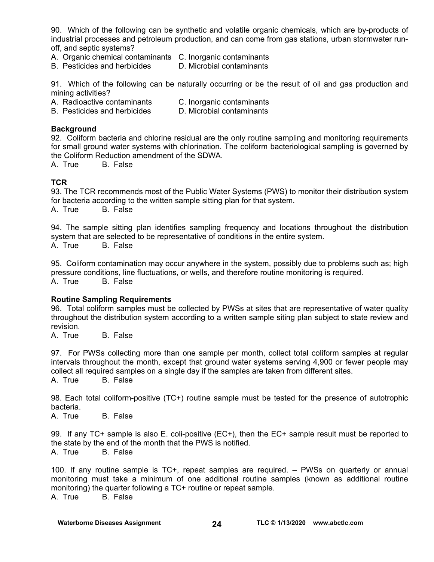90. Which of the following can be synthetic and volatile organic chemicals, which are by-products of industrial processes and petroleum production, and can come from gas stations, urban stormwater runoff, and septic systems?

- A. Organic chemical contaminants C. Inorganic contaminants
- B. Pesticides and herbicides D. Microbial contaminants

91. Which of the following can be naturally occurring or be the result of oil and gas production and mining activities?

- A. Radioactive contaminants C. Inorganic contaminants
- B. Pesticides and herbicides D. Microbial contaminants

#### **Background**

92. Coliform bacteria and chlorine residual are the only routine sampling and monitoring requirements for small ground water systems with chlorination. The coliform bacteriological sampling is governed by the Coliform Reduction amendment of the SDWA.

A. True B. False

#### **TCR**

93. The TCR recommends most of the Public Water Systems (PWS) to monitor their distribution system for bacteria according to the written sample sitting plan for that system.

A. True B. False

94. The sample sitting plan identifies sampling frequency and locations throughout the distribution system that are selected to be representative of conditions in the entire system. A. True B. False

95. Coliform contamination may occur anywhere in the system, possibly due to problems such as; high pressure conditions, line fluctuations, or wells, and therefore routine monitoring is required. A. True B. False

#### **Routine Sampling Requirements**

96. Total coliform samples must be collected by PWSs at sites that are representative of water quality throughout the distribution system according to a written sample siting plan subject to state review and revision.

A. True B. False

97. For PWSs collecting more than one sample per month, collect total coliform samples at regular intervals throughout the month, except that ground water systems serving 4,900 or fewer people may collect all required samples on a single day if the samples are taken from different sites.

A. True B. False

98. Each total coliform-positive (TC+) routine sample must be tested for the presence of autotrophic bacteria.

A. True B. False

99. If any TC+ sample is also E. coli-positive (EC+), then the EC+ sample result must be reported to the state by the end of the month that the PWS is notified. A. True B. False

100. If any routine sample is TC+, repeat samples are required. – PWSs on quarterly or annual monitoring must take a minimum of one additional routine samples (known as additional routine monitoring) the quarter following a TC+ routine or repeat sample. A. True B. False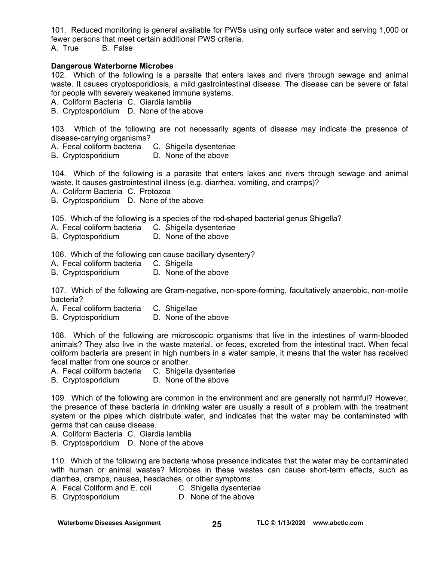101. Reduced monitoring is general available for PWSs using only surface water and serving 1,000 or fewer persons that meet certain additional PWS criteria. A. True B. False

#### **Dangerous Waterborne Microbes**

102. Which of the following is a parasite that enters lakes and rivers through sewage and animal waste. It causes cryptosporidiosis, a mild gastrointestinal disease. The disease can be severe or fatal for people with severely weakened immune systems.

A. Coliform Bacteria C. Giardia lamblia

B. Cryptosporidium D. None of the above

103. Which of the following are not necessarily agents of disease may indicate the presence of disease-carrying organisms?

A. Fecal coliform bacteria C. Shigella dysenteriae

B. Cryptosporidium D. None of the above

104. Which of the following is a parasite that enters lakes and rivers through sewage and animal waste. It causes gastrointestinal illness (e.g. diarrhea, vomiting, and cramps)?

A. Coliform Bacteria C. Protozoa

B. Cryptosporidium D. None of the above

105. Which of the following is a species of the rod-shaped bacterial genus Shigella?

- A. Fecal coliform bacteria C. Shigella dysenteriae
- B. Cryptosporidium D. None of the above

106. Which of the following can cause bacillary dysentery?

- A. Fecal coliform bacteria C. Shigella
- B. Cryptosporidium D. None of the above

107. Which of the following are Gram-negative, non-spore-forming, facultatively anaerobic, non-motile bacteria?

- A. Fecal coliform bacteria C. Shigellae
- B. Cryptosporidium D. None of the above

108. Which of the following are microscopic organisms that live in the intestines of warm-blooded animals? They also live in the waste material, or feces, excreted from the intestinal tract. When fecal coliform bacteria are present in high numbers in a water sample, it means that the water has received fecal matter from one source or another.

A. Fecal coliform bacteria C. Shigella dysenteriae

B. Cryptosporidium D. None of the above

109. Which of the following are common in the environment and are generally not harmful? However, the presence of these bacteria in drinking water are usually a result of a problem with the treatment system or the pipes which distribute water, and indicates that the water may be contaminated with germs that can cause disease.

A. Coliform Bacteria C. Giardia lamblia

B. Cryptosporidium D. None of the above

110. Which of the following are bacteria whose presence indicates that the water may be contaminated with human or animal wastes? Microbes in these wastes can cause short-term effects, such as diarrhea, cramps, nausea, headaches, or other symptoms.

A. Fecal Coliform and E. coli C. Shigella dysenteriae

B. Cryptosporidium D. None of the above

Waterborne Diseases Assignment **25 TLC © 1/13/2020** www.abctlc.com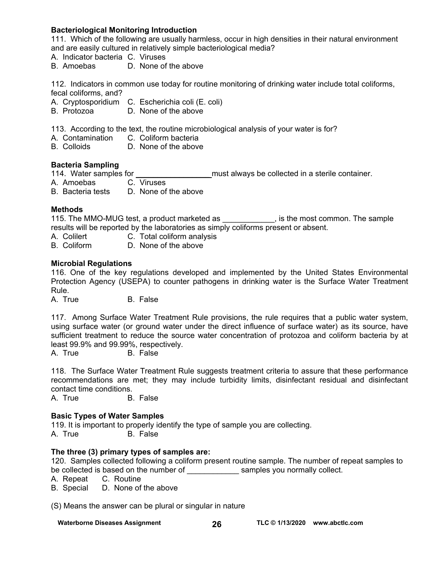#### **Bacteriological Monitoring Introduction**

111. Which of the following are usually harmless, occur in high densities in their natural environment and are easily cultured in relatively simple bacteriological media?

- A. Indicator bacteria C. Viruses
- B. Amoebas D. None of the above

112. Indicators in common use today for routine monitoring of drinking water include total coliforms, fecal coliforms, and?

- A. Cryptosporidium C. Escherichia coli (E. coli)
- B. Protozoa D. None of the above

113. According to the text, the routine microbiological analysis of your water is for?

- A. Contamination C. Coliform bacteria
- B. Colloids D. None of the above

#### **Bacteria Sampling**

114. Water samples for **the samples of the same of the same steps** must always be collected in a sterile container.

- A. Amoebas C. Viruses
- B. Bacteria tests D. None of the above

#### **Methods**

115. The MMO-MUG test, a product marketed as  $\qquad \qquad$ , is the most common. The sample results will be reported by the laboratories as simply coliforms present or absent.

- A. Colilert **C. Total coliform analysis**
- B. Coliform D. None of the above

#### **Microbial Regulations**

116. One of the key regulations developed and implemented by the United States Environmental Protection Agency (USEPA) to counter pathogens in drinking water is the Surface Water Treatment Rule.

A. True B. False

117. Among Surface Water Treatment Rule provisions, the rule requires that a public water system, using surface water (or ground water under the direct influence of surface water) as its source, have sufficient treatment to reduce the source water concentration of protozoa and coliform bacteria by at least 99.9% and 99.99%, respectively.

A. True B. False

118. The Surface Water Treatment Rule suggests treatment criteria to assure that these performance recommendations are met; they may include turbidity limits, disinfectant residual and disinfectant contact time conditions.

A. True B. False

#### **Basic Types of Water Samples**

119. It is important to properly identify the type of sample you are collecting. A. True B. False

#### **The three (3) primary types of samples are:**

120. Samples collected following a coliform present routine sample. The number of repeat samples to be collected is based on the number of **Examples** you normally collect.

- A. Repeat C. Routine
- B. Special D. None of the above

(S) Means the answer can be plural or singular in nature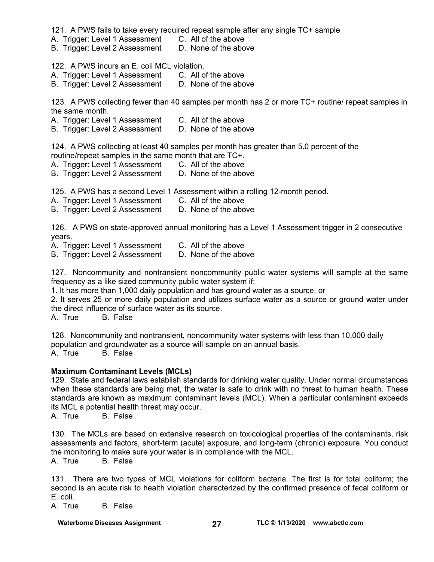121. A PWS fails to take every required repeat sample after any single TC+ sample

- A. Trigger: Level 1 Assessment C. All of the above
- B. Trigger: Level 2 Assessment D. None of the above

122. A PWS incurs an E. coli MCL violation.

- A. Trigger: Level 1 Assessment C. All of the above
- B. Trigger: Level 2 Assessment D. None of the above

123. A PWS collecting fewer than 40 samples per month has 2 or more TC+ routine/ repeat samples in the same month.

- A. Trigger: Level 1 Assessment C. All of the above<br>B. Trigger: Level 2 Assessment D. None of the above
- B. Trigger: Level 2 Assessment

124. A PWS collecting at least 40 samples per month has greater than 5.0 percent of the routine/repeat samples in the same month that are TC+.

- A. Trigger: Level 1 Assessment C. All of the above
	-

B. Trigger: Level 2 Assessment D. None of the above

125. A PWS has a second Level 1 Assessment within a rolling 12-month period.

- A. Trigger: Level 1 Assessment C. All of the above
- B. Trigger: Level 2 Assessment D. None of the above

126. A PWS on state-approved annual monitoring has a Level 1 Assessment trigger in 2 consecutive years.

- -

A. Trigger: Level 1 Assessment C. All of the above<br>B. Trigger: Level 2 Assessment D. None of the above B. Trigger: Level 2 Assessment

127. Noncommunity and nontransient noncommunity public water systems will sample at the same frequency as a like sized community public water system if:

1. It has more than 1,000 daily population and has ground water as a source, or

2. It serves 25 or more daily population and utilizes surface water as a source or ground water under the direct influence of surface water as its source.

A. True B. False

128. Noncommunity and nontransient, noncommunity water systems with less than 10,000 daily population and groundwater as a source will sample on an annual basis. **B.** False

#### **Maximum Contaminant Levels (MCLs)**

129. State and federal laws establish standards for drinking water quality. Under normal circumstances when these standards are being met, the water is safe to drink with no threat to human health. These standards are known as maximum contaminant levels (MCL). When a particular contaminant exceeds its MCL a potential health threat may occur.

A. True B. False

130. The MCLs are based on extensive research on toxicological properties of the contaminants, risk assessments and factors, short-term (acute) exposure, and long-term (chronic) exposure. You conduct the monitoring to make sure your water is in compliance with the MCL.

A. True B. False

131. There are two types of MCL violations for coliform bacteria. The first is for total coliform; the second is an acute risk to health violation characterized by the confirmed presence of fecal coliform or E. coli.

A. True B. False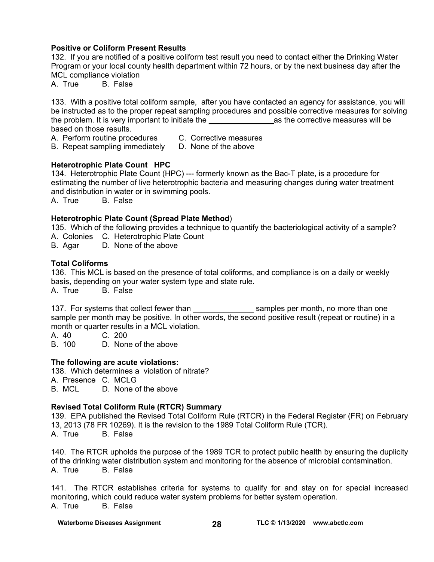#### **Positive or Coliform Present Results**

132. If you are notified of a positive coliform test result you need to contact either the Drinking Water Program or your local county health department within 72 hours, or by the next business day after the MCL compliance violation

A. True B. False

133. With a positive total coliform sample, after you have contacted an agency for assistance, you will be instructed as to the proper repeat sampling procedures and possible corrective measures for solving the problem. It is very important to initiate the entity as the corrective measures will be based on those results.

A. Perform routine procedures C. Corrective measures

B. Repeat sampling immediately D. None of the above

#### **Heterotrophic Plate Count HPC**

134. Heterotrophic Plate Count (HPC) --- formerly known as the Bac-T plate, is a procedure for estimating the number of live heterotrophic bacteria and measuring changes during water treatment and distribution in water or in swimming pools.

A. True B. False

#### **Heterotrophic Plate Count (Spread Plate Method**)

135. Which of the following provides a technique to quantify the bacteriological activity of a sample? A. Colonies C. Heterotrophic Plate Count

B. Agar D. None of the above

#### **Total Coliforms**

136. This MCL is based on the presence of total coliforms, and compliance is on a daily or weekly basis, depending on your water system type and state rule.

A. True B. False

137. For systems that collect fewer than subsetiment of samples per month, no more than one sample per month may be positive. In other words, the second positive result (repeat or routine) in a month or quarter results in a MCL violation.

A. 40 C. 200

B. 100 D. None of the above

#### **The following are acute violations:**

138. Which determines a violation of nitrate?

A. Presence C. MCLG<br>B. MCL D. None c

D. None of the above

#### **Revised Total Coliform Rule (RTCR) Summary**

139. EPA published the Revised Total Coliform Rule (RTCR) in the Federal Register (FR) on February 13, 2013 (78 FR 10269). It is the revision to the 1989 Total Coliform Rule (TCR). A. True B. False

140. The RTCR upholds the purpose of the 1989 TCR to protect public health by ensuring the duplicity of the drinking water distribution system and monitoring for the absence of microbial contamination. A. True B. False

141. The RTCR establishes criteria for systems to qualify for and stay on for special increased monitoring, which could reduce water system problems for better system operation. A. True B. False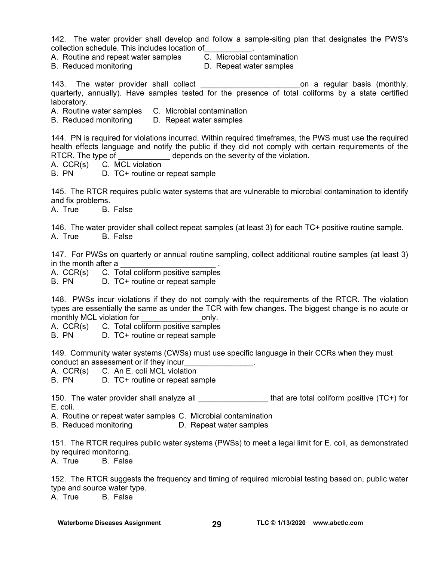142. The water provider shall develop and follow a sample-siting plan that designates the PWS's collection schedule. This includes location of\_\_\_\_\_\_\_\_\_\_\_.

- A. Routine and repeat water samples C. Microbial contamination
	-
- B. Reduced monitoring **D. Repeat water samples**

143. The water provider shall collect **the set of the set of the set on a regular basis (monthly,** quarterly, annually). Have samples tested for the presence of total coliforms by a state certified laboratory.

A. Routine water samples C. Microbial contamination

B. Reduced monitoring D. Repeat water samples

144. PN is required for violations incurred. Within required timeframes, the PWS must use the required health effects language and notify the public if they did not comply with certain requirements of the RTCR. The type of depends on the severity of the violation.

- A. CCR(s) C. MCL violation
- B. PN D. TC+ routine or repeat sample

145. The RTCR requires public water systems that are vulnerable to microbial contamination to identify and fix problems.

A. True B. False

146. The water provider shall collect repeat samples (at least 3) for each TC+ positive routine sample. A. True B. False

147. For PWSs on quarterly or annual routine sampling, collect additional routine samples (at least 3) in the month after a

A. CCR(s) C. Total coliform positive samples

B. PN D. TC+ routine or repeat sample

148. PWSs incur violations if they do not comply with the requirements of the RTCR. The violation types are essentially the same as under the TCR with few changes. The biggest change is no acute or monthly MCL violation for monthly MCL violation for

A. CCR(s) C. Total coliform positive samples

B. PN D. TC+ routine or repeat sample

149. Community water systems (CWSs) must use specific language in their CCRs when they must conduct an assessment or if they incur

A. CCR(s) C. An E. coli MCL violation

B. PN D. TC+ routine or repeat sample

150. The water provider shall analyze all **the set of that are total coliform positive (TC+) for** E. coli.

A. Routine or repeat water samples C. Microbial contamination

B. Reduced monitoring D. Repeat water samples

151. The RTCR requires public water systems (PWSs) to meet a legal limit for E. coli, as demonstrated by required monitoring.

A. True B. False

152. The RTCR suggests the frequency and timing of required microbial testing based on, public water type and source water type. A. True B. False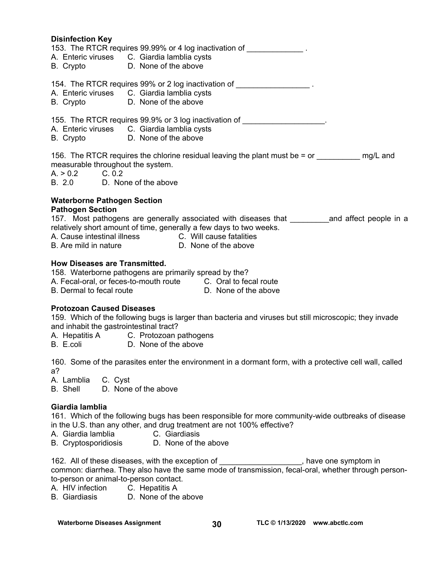# **Disinfection Key**  153. The RTCR requires 99.99% or 4 log inactivation of A. Enteric viruses C. Giardia lamblia cysts B. Crypto D. None of the above 154. The RTCR requires 99% or 2 log inactivation of  $\blacksquare$ A. Enteric viruses C. Giardia lamblia cysts B. Crypto D. None of the above 155. The RTCR requires 99.9% or 3 log inactivation of  $\blacksquare$ A. Enteric viruses C. Giardia lamblia cysts B. Crypto D. None of the above 156. The RTCR requires the chlorine residual leaving the plant must be  $=$  or  $\qquad \qquad$  mg/L and measurable throughout the system.<br>A. > 0.2 C. 0.2  $A. > 0.2$ B. 2.0 D. None of the above **Waterborne Pathogen Section Pathogen Section**  157. Most pathogens are generally associated with diseases that Theoral and affect people in a relatively short amount of time, generally a few days to two weeks. A. Cause intestinal illness C. Will cause fatalities B. Are mild in nature D. None of the above **How Diseases are Transmitted.**  158. Waterborne pathogens are primarily spread by the? A. Fecal-oral, or feces-to-mouth route C. Oral to fecal route B. Dermal to fecal route **D. None of the above Protozoan Caused Diseases**

159. Which of the following bugs is larger than bacteria and viruses but still microscopic; they invade and inhabit the gastrointestinal tract?

A. Hepatitis A C. Protozoan pathogens

B. E.coli D. None of the above

160. Some of the parasites enter the environment in a dormant form, with a protective cell wall, called a?

A. Lamblia C. Cyst

B. Shell D. None of the above

#### **Giardia lamblia**

161. Which of the following bugs has been responsible for more community-wide outbreaks of disease in the U.S. than any other, and drug treatment are not 100% effective?

- A. Giardia lamblia C. Giardiasis
- B. Cryptosporidiosis D. None of the above

162. All of these diseases, with the exception of the state one symptom in common: diarrhea. They also have the same mode of transmission, fecal-oral, whether through personto-person or animal-to-person contact.

A. HIV infection C. Hepatitis A

B. Giardiasis D. None of the above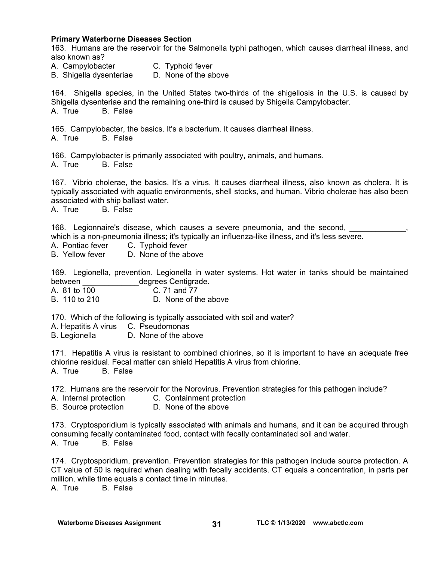#### **Primary Waterborne Diseases Section**

163. Humans are the reservoir for the Salmonella typhi pathogen, which causes diarrheal illness, and also known as?

A. Campylobacter **C.** Typhoid fever

B. Shigella dysenteriae D. None of the above

164. Shigella species, in the United States two-thirds of the shigellosis in the U.S. is caused by Shigella dysenteriae and the remaining one-third is caused by Shigella Campylobacter. A. True B. False

165. Campylobacter, the basics. It's a bacterium. It causes diarrheal illness. A. True B. False

166. Campylobacter is primarily associated with poultry, animals, and humans. A. True B. False

167. Vibrio cholerae, the basics. It's a virus. It causes diarrheal illness, also known as cholera. It is typically associated with aquatic environments, shell stocks, and human. Vibrio cholerae has also been associated with ship ballast water.

A. True B. False

168. Legionnaire's disease, which causes a severe pneumonia, and the second,

which is a non-pneumonia illness; it's typically an influenza-like illness, and it's less severe.

- A. Pontiac fever C. Typhoid fever
- B. Yellow fever D. None of the above

169. Legionella, prevention. Legionella in water systems. Hot water in tanks should be maintained between degrees Centigrade.

A. 81 to 100 C. 71 and 77

B. 110 to 210 D. None of the above

170. Which of the following is typically associated with soil and water?

A. Hepatitis A virus C. Pseudomonas

B. Legionella D. None of the above

171. Hepatitis A virus is resistant to combined chlorines, so it is important to have an adequate free chlorine residual. Fecal matter can shield Hepatitis A virus from chlorine. A. True B. False

172. Humans are the reservoir for the Norovirus. Prevention strategies for this pathogen include?

- A. Internal protection C. Containment protection
- B. Source protection D. None of the above

173. Cryptosporidium is typically associated with animals and humans, and it can be acquired through consuming fecally contaminated food, contact with fecally contaminated soil and water. A. True B. False

174. Cryptosporidium, prevention. Prevention strategies for this pathogen include source protection. A CT value of 50 is required when dealing with fecally accidents. CT equals a concentration, in parts per million, while time equals a contact time in minutes. A. True B. False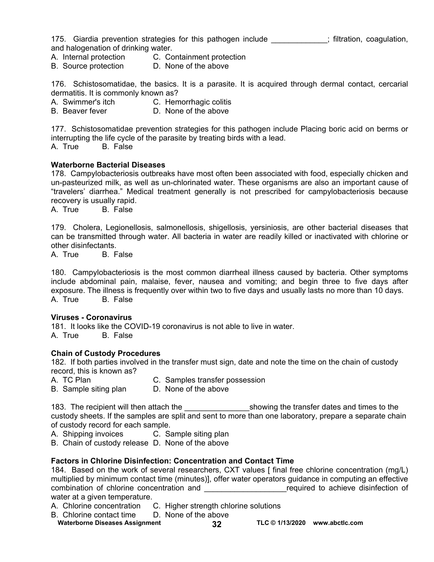175. Giardia prevention strategies for this pathogen include \_\_\_\_\_\_\_\_\_\_\_\_; filtration, coagulation, and halogenation of drinking water.

- A. Internal protection C. Containment protection
- B. Source protection D. None of the above

176. Schistosomatidae, the basics. It is a parasite. It is acquired through dermal contact, cercarial dermatitis. It is commonly known as?

A. Swimmer's itch C. Hemorrhagic colitis

B. Beaver fever D. None of the above

177. Schistosomatidae prevention strategies for this pathogen include Placing boric acid on berms or interrupting the life cycle of the parasite by treating birds with a lead.

A. True B. False

#### **Waterborne Bacterial Diseases**

178. Campylobacteriosis outbreaks have most often been associated with food, especially chicken and un-pasteurized milk, as well as un-chlorinated water. These organisms are also an important cause of "travelers' diarrhea." Medical treatment generally is not prescribed for campylobacteriosis because recovery is usually rapid.

A. True B. False

179. Cholera, Legionellosis, salmonellosis, shigellosis, yersiniosis, are other bacterial diseases that can be transmitted through water. All bacteria in water are readily killed or inactivated with chlorine or other disinfectants.

A. True B. False

180. Campylobacteriosis is the most common diarrheal illness caused by bacteria. Other symptoms include abdominal pain, malaise, fever, nausea and vomiting; and begin three to five days after exposure. The illness is frequently over within two to five days and usually lasts no more than 10 days. A. True B. False

#### **Viruses - Coronavirus**

181. It looks like the COVID-19 coronavirus is not able to live in water. A. True B. False

#### **Chain of Custody Procedures**

182. If both parties involved in the transfer must sign, date and note the time on the chain of custody record, this is known as?

- A. TC Plan C. Samples transfer possession
- B. Sample siting plan D. None of the above

183. The recipient will then attach the the showing the transfer dates and times to the custody sheets. If the samples are split and sent to more than one laboratory, prepare a separate chain of custody record for each sample.

A. Shipping invoices C. Sample siting plan

B. Chain of custody release D. None of the above

#### **Factors in Chlorine Disinfection: Concentration and Contact Time**

184. Based on the work of several researchers, CXT values [ final free chlorine concentration (mg/L) multiplied by minimum contact time (minutes)], offer water operators guidance in computing an effective combination of chlorine concentration and  $\Box$  required to achieve disinfection of water at a given temperature.

- A. Chlorine concentration C. Higher strength chlorine solutions
- B. Chlorine contact time D. None of the above
- Waterborne Diseases Assignment **32 TLC © 1/13/2020** www.abctlc.com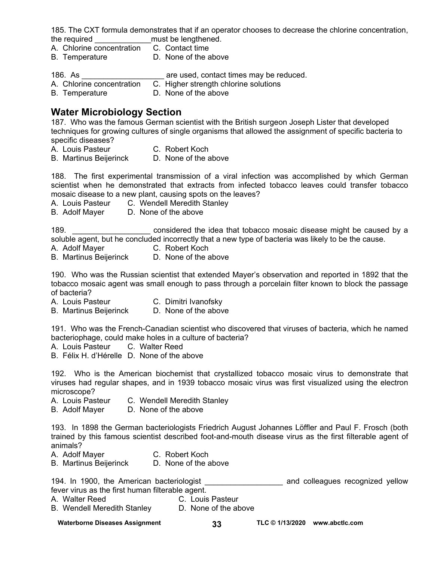185. The CXT formula demonstrates that if an operator chooses to decrease the chlorine concentration, the required **the required** must be lengthened.

- A. Chlorine concentration C. Contact time
- B. Temperature D. None of the above

186. As \_\_\_\_\_\_\_\_\_\_\_\_\_\_\_\_\_\_\_\_\_\_\_\_\_\_\_\_ are used, contact times may be reduced.<br>A. Chlorine concentration C. Higher strength chlorine solutions

- C. Higher strength chlorine solutions
- B. Temperature D. None of the above

# **Water Microbiology Section**

187. Who was the famous German scientist with the British surgeon Joseph Lister that developed techniques for growing cultures of single organisms that allowed the assignment of specific bacteria to specific diseases?

A. Louis Pasteur **C. Robert Koch** 

B. Martinus Beijerinck D. None of the above

188. The first experimental transmission of a viral infection was accomplished by which German scientist when he demonstrated that extracts from infected tobacco leaves could transfer tobacco mosaic disease to a new plant, causing spots on the leaves?

- A. Louis Pasteur C. Wendell Meredith Stanley
- B. Adolf Mayer D. None of the above

189. \_\_\_\_\_\_\_\_\_\_\_\_\_\_\_\_\_\_\_\_\_\_\_\_ considered the idea that tobacco mosaic disease might be caused by a soluble agent, but he concluded incorrectly that a new type of bacteria was likely to be the cause.

- A. Adolf Mayer C. Robert Koch
- B. Martinus Beijerinck D. None of the above

190. Who was the Russian scientist that extended Mayer's observation and reported in 1892 that the tobacco mosaic agent was small enough to pass through a porcelain filter known to block the passage of bacteria?

- A. Louis Pasteur C. Dimitri Ivanofsky
- B. Martinus Beijerinck D. None of the above

191. Who was the French-Canadian scientist who discovered that viruses of bacteria, which he named bacteriophage, could make holes in a culture of bacteria?

- A. Louis Pasteur C. Walter Reed
- B. Félix H. d'Hérelle D. None of the above

192. Who is the American biochemist that crystallized tobacco mosaic virus to demonstrate that viruses had regular shapes, and in 1939 tobacco mosaic virus was first visualized using the electron microscope?

- A. Louis Pasteur C. Wendell Meredith Stanley
- B. Adolf Mayer D. None of the above

193. In 1898 the German bacteriologists Friedrich August Johannes Löffler and Paul F. Frosch (both trained by this famous scientist described foot-and-mouth disease virus as the first filterable agent of animals?

- A. Adolf Mayer C. Robert Koch
- B. Martinus Beijerinck D. None of the above

194. In 1900, the American bacteriologist \_\_\_\_\_\_\_\_\_\_\_\_\_\_\_\_\_\_ and colleagues recognized yellow fever virus as the first human filterable agent.

- A. Walter Reed C. Louis Pasteur<br>
B. Wendell Meredith Stanley C. None of the above
- B. Wendell Meredith Stanley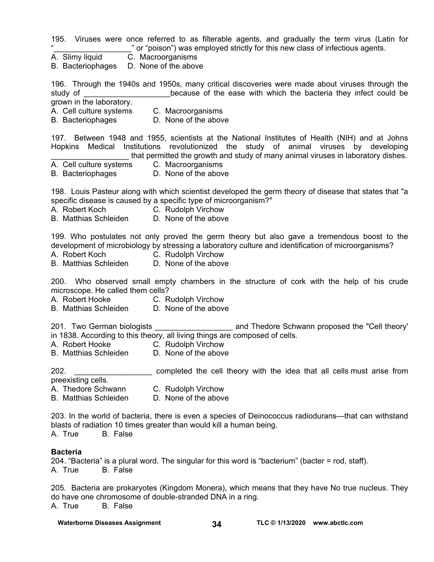195. Viruses were once referred to as filterable agents, and gradually the term virus (Latin for " or "poison") was employed strictly for this new class of infectious agents.

A. Slimy liquid C. Macroorganisms

B. Bacteriophages D. None of the above

196. Through the 1940s and 1950s, many critical discoveries were made about viruses through the study of **EXEC 2018** Study of **EXEC 2018** Study of the ease with which the bacteria they infect could be grown in the laboratory.

- 
- A. Cell culture systems C. Macroorganisms
- B. Bacteriophages D. None of the above

197. Between 1948 and 1955, scientists at the National Institutes of Health (NIH) and at Johns Hopkins Medical Institutions revolutionized the study of animal viruses by developing that permitted the growth and study of many animal viruses in laboratory dishes.

A. Cell culture systems C. Macroorganisms

B. Bacteriophages D. None of the above

198. Louis Pasteur along with which scientist developed the germ theory of disease that states that "a specific disease is caused by a specific type of microorganism?"

- A. Robert Koch C. Rudolph Virchow
- B. Matthias Schleiden D. None of the above

199. Who postulates not only proved the germ theory but also gave a tremendous boost to the development of microbiology by stressing a laboratory culture and identification of microorganisms?

- A. Robert Koch C. Rudolph Virchow
- B. Matthias Schleiden D. None of the above

200. Who observed small empty chambers in the structure of cork with the help of his crude microscope. He called them cells?

- A. Robert Hooke C. Rudolph Virchow
- B. Matthias Schleiden D. None of the above

201. Two German biologists \_\_\_\_\_\_\_\_\_\_\_\_\_\_\_\_\_\_ and Thedore Schwann proposed the "Cell theory' in 1838. According to this theory, all living things are composed of cells.

- A. Robert Hooke C. Rudolph Virchow
- B. Matthias Schleiden D. None of the above

202. **Example 202. Example ted the cell theory with the idea that all cells must arise from** preexisting cells.

- A. Thedore Schwann C. Rudolph Virchow
- B. Matthias Schleiden D. None of the above

203. In the world of bacteria, there is even a species of Deinococcus radiodurans—that can withstand blasts of radiation 10 times greater than would kill a human being.

A. True B. False

#### **Bacteria**

204. "Bacteria" is a plural word. The singular for this word is "bacterium" (bacter = rod, staff). A. True B. False

205. Bacteria are prokaryotes (Kingdom Monera), which means that they have No true nucleus. They do have one chromosome of double-stranded DNA in a ring. A. True B. False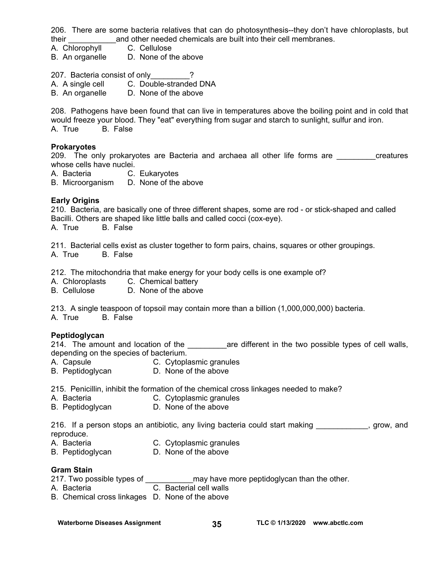206. There are some bacteria relatives that can do photosynthesis--they don't have chloroplasts, but their \_\_\_\_\_\_\_\_\_\_\_and other needed chemicals are built into their cell membranes.

- A. Chlorophyll C. Cellulose
- B. An organelle D. None of the above

207. Bacteria consist of only\_\_\_\_\_\_\_\_\_?

A. A single cell C. Double-stranded DNA

B. An organelle D. None of the above

208. Pathogens have been found that can live in temperatures above the boiling point and in cold that would freeze your blood. They "eat" everything from sugar and starch to sunlight, sulfur and iron. B. False

#### **Prokaryotes**

209. The only prokaryotes are Bacteria and archaea all other life forms are exacures whose cells have nuclei.

A. Bacteria C. Eukaryotes

B. Microorganism D. None of the above

#### **Early Origins**

210. Bacteria, are basically one of three different shapes, some are rod - or stick-shaped and called Bacilli. Others are shaped like little balls and called cocci (cox-eye).

A. True B. False

211. Bacterial cells exist as cluster together to form pairs, chains, squares or other groupings. A. True B. False

212. The mitochondria that make energy for your body cells is one example of?

- A. Chloroplasts C. Chemical battery
- B. Cellulose D. None of the above

213. A single teaspoon of topsoil may contain more than a billion (1,000,000,000) bacteria.

A. True B. False

#### **Peptidoglycan**

214. The amount and location of the and sare different in the two possible types of cell walls, depending on the species of bacterium.

- A. Capsule **C. Cytoplasmic granules**
- B. Peptidoglycan D. None of the above

215. Penicillin, inhibit the formation of the chemical cross linkages needed to make?

- A. Bacteria C. Cytoplasmic granules
- B. Peptidoglycan D. None of the above

216. If a person stops an antibiotic, any living bacteria could start making example suppose and reproduce.

- A. Bacteria C. Cytoplasmic granules
- B. Peptidoglycan D. None of the above

#### **Gram Stain**

217. Two possible types of \_\_\_\_\_\_\_\_\_\_\_\_\_\_may have more peptidoglycan than the other.

- A. Bacteria C. Bacterial cell walls
- B. Chemical cross linkages D. None of the above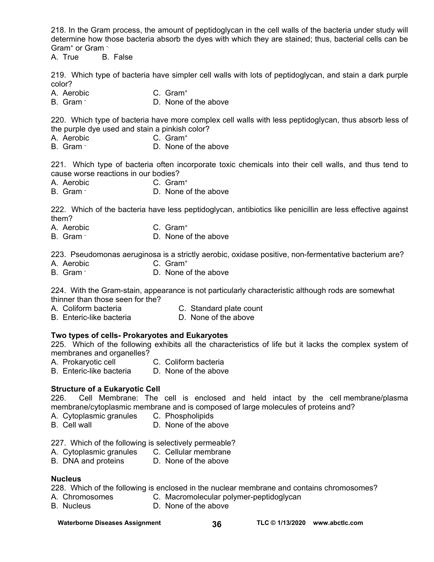218. In the Gram process, the amount of peptidoglycan in the cell walls of the bacteria under study will determine how those bacteria absorb the dyes with which they are stained; thus, bacterial cells can be Gram+ or Gram -.

A. True B. False

219. Which type of bacteria have simpler cell walls with lots of peptidoglycan, and stain a dark purple color?

A. Aerobic C. Gram+

B. Gram -D. None of the above

220. Which type of bacteria have more complex cell walls with less peptidoglycan, thus absorb less of the purple dye used and stain a pinkish color?<br>A. Aerobic C. Gram<sup>+</sup>

- A. Aerobic
- B. Gram D. None of the above

221. Which type of bacteria often incorporate toxic chemicals into their cell walls, and thus tend to cause worse reactions in our bodies?

- A. Aerobic C. Gram+
- B. Gram D. None of the above

222. Which of the bacteria have less peptidoglycan, antibiotics like penicillin are less effective against them?

- A. Aerobic C. Gram+
- B. Gram -D. None of the above

223. Pseudomonas aeruginosa is a strictly aerobic, oxidase positive, non-fermentative bacterium are?

- A. Aerobic C. Gram+
- B. Gram -D. None of the above

224. With the Gram-stain, appearance is not particularly characteristic although rods are somewhat thinner than those seen for the?

- 
- 
- A. Coliform bacteria C. Standard plate count<br>B. Enteric-like bacteria C. None of the above B. Enteric-like bacteria

#### **Two types of cells- Prokaryotes and Eukaryotes**

225. Which of the following exhibits all the characteristics of life but it lacks the complex system of membranes and organelles?

- A. Prokaryotic cell **C. Coliform bacteria** 
	-
- B. Enteric-like bacteria D. None of the above

#### **Structure of a Eukaryotic Cell**

226. Cell Membrane: The cell is enclosed and held intact by the cell membrane/plasma membrane/cytoplasmic membrane and is composed of large molecules of proteins and?

- A. Cytoplasmic granules C. Phospholipids
- B. Cell wall **D.** None of the above

227. Which of the following is selectively permeable?

- A. Cytoplasmic granules C. Cellular membrane<br>B. DNA and proteins D. None of the above
- B. DNA and proteins

#### **Nucleus**

228. Which of the following is enclosed in the nuclear membrane and contains chromosomes?

- A. Chromosomes C. Macromolecular polymer-peptidoglycan
- B. Nucleus D. None of the above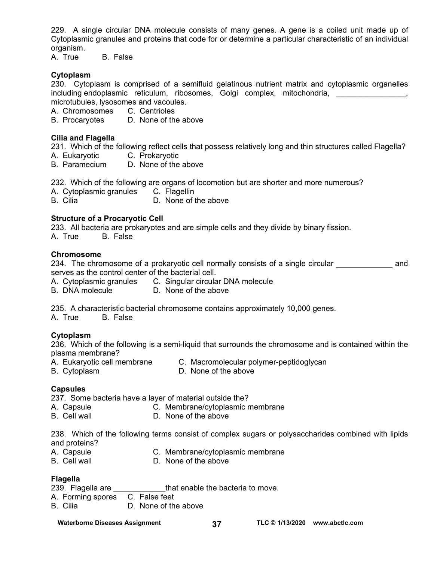229. A single circular DNA molecule consists of many genes. A gene is a coiled unit made up of Cytoplasmic granules and proteins that code for or determine a particular characteristic of an individual organism.

A. True B. False

#### **Cytoplasm**

230. Cytoplasm is comprised of a semifluid gelatinous nutrient matrix and cytoplasmic organelles including endoplasmic reticulum, ribosomes, Golgi complex, mitochondria, metallism and the metallism microtubules, lysosomes and vacoules.

A. Chromosomes C. Centrioles

B. Procaryotes D. None of the above

#### **Cilia and Flagella**

231. Which of the following reflect cells that possess relatively long and thin structures called Flagella?

- A. Eukaryotic C. Prokaryotic
- B. Paramecium D. None of the above

232. Which of the following are organs of locomotion but are shorter and more numerous?

- A. Cytoplasmic granules C. Flagellin
- B. Cilia D. None of the above

#### **Structure of a Procaryotic Cell**

233. All bacteria are prokaryotes and are simple cells and they divide by binary fission.

A. True B. False

#### **Chromosome**

234. The chromosome of a prokaryotic cell normally consists of a single circular **come and** serves as the control center of the bacterial cell.

- A. Cytoplasmic granules C. Singular circular DNA molecule
- B. DNA molecule D. None of the above

235. A characteristic bacterial chromosome contains approximately 10,000 genes.

A. True B. False

#### **Cytoplasm**

236. Which of the following is a semi-liquid that surrounds the chromosome and is contained within the plasma membrane?

- A. Eukaryotic cell membrane C. Macromolecular polymer-peptidoglycan
- B. Cytoplasm D. None of the above
- 

#### **Capsules**

237. Some bacteria have a layer of material outside the?

- A. Capsule C. Membrane/cytoplasmic membrane
- B. Cell wall **D.** None of the above

238. Which of the following terms consist of complex sugars or polysaccharides combined with lipids and proteins?<br>A. Capsule

- 
- A. Capsule **C. Membrane/cytoplasmic membrane**<br>
B. Cell wall **B. Cell wall** D. None of the above
- 
- 

#### **Flagella**

- 239. Flagella are **that enable the bacteria to move.**
- A. Forming spores C. False feet
- B. Cilia D. None of the above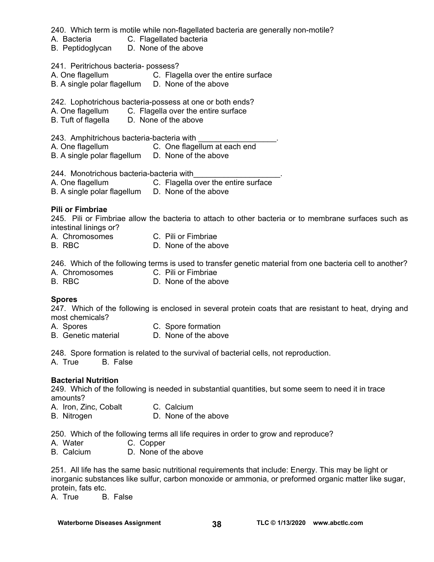240. Which term is motile while non-flagellated bacteria are generally non-motile?

- A. Bacteria C. Flagellated bacteria
- B. Peptidoglycan D. None of the above

#### 241. Peritrichous bacteria- possess?

- A. One flagellum C. Flagella over the entire surface
- B. A single polar flagellum D. None of the above

242. Lophotrichous bacteria-possess at one or both ends?

- A. One flagellum C. Flagella over the entire surface
- B. Tuft of flagella D. None of the above

243. Amphitrichous bacteria-bacteria with

A. One flagellum C. One flagellum at each end

B. A single polar flagellum D. None of the above

244. Monotrichous bacteria-bacteria with

- A. One flagellum C. Flagella over the entire surface
- B. A single polar flagellum D. None of the above

#### **Pili or Fimbriae**

245. Pili or Fimbriae allow the bacteria to attach to other bacteria or to membrane surfaces such as intestinal linings or?

- A. Chromosomes C. Pili or Fimbriae
- B. RBC D. None of the above

246. Which of the following terms is used to transfer genetic material from one bacteria cell to another?

- A. Chromosomes C. Pili or Fimbriae
- B. RBC D. None of the above
	-

#### **Spores**

247. Which of the following is enclosed in several protein coats that are resistant to heat, drying and most chemicals?

- A. Spores C. Spore formation
- B. Genetic material D. None of the above

248. Spore formation is related to the survival of bacterial cells, not reproduction.

A. True B. False

#### **Bacterial Nutrition**

249. Which of the following is needed in substantial quantities, but some seem to need it in trace amounts?

- A. Iron, Zinc, Cobalt C. Calcium
- B. Nitrogen D. None of the above

250. Which of the following terms all life requires in order to grow and reproduce?

- A. Water C. Copper
- B. Calcium D. None of the above

251. All life has the same basic nutritional requirements that include: Energy. This may be light or inorganic substances like sulfur, carbon monoxide or ammonia, or preformed organic matter like sugar, protein, fats etc.

A. True B. False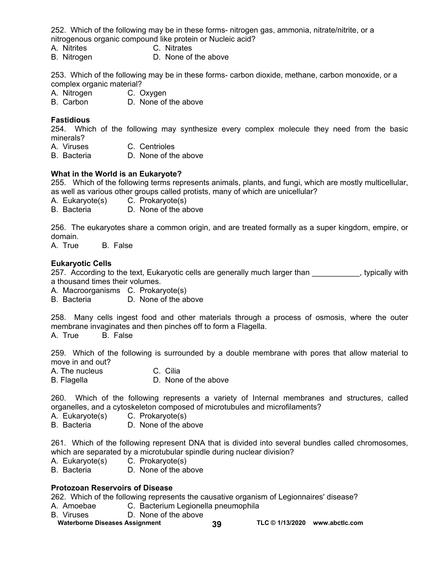252. Which of the following may be in these forms- nitrogen gas, ammonia, nitrate/nitrite, or a nitrogenous organic compound like protein or Nucleic acid?

- A. Nitrites C. Nitrates
- B. Nitrogen D. None of the above

253. Which of the following may be in these forms- carbon dioxide, methane, carbon monoxide, or a complex organic material?

- A. Nitrogen C. Oxygen
- B. Carbon D. None of the above

#### **Fastidious**

254. Which of the following may synthesize every complex molecule they need from the basic minerals?

- A. Viruses C. Centrioles
- B. Bacteria D. None of the above

#### **What in the World is an Eukaryote?**

255. Which of the following terms represents animals, plants, and fungi, which are mostly multicellular, as well as various other groups called protists, many of which are unicellular?

A. Eukaryote(s) C. Prokaryote(s)

B. Bacteria D. None of the above

256. The eukaryotes share a common origin, and are treated formally as a super kingdom, empire, or domain.

A. True B. False

#### **Eukaryotic Cells**

257. According to the text, Eukaryotic cells are generally much larger than exactleding typically with a thousand times their volumes.

A. Macroorganisms C. Prokaryote(s)

B. Bacteria D. None of the above

258. Many cells ingest food and other materials through a process of osmosis, where the outer membrane invaginates and then pinches off to form a Flagella.

A. True B. False

259. Which of the following is surrounded by a double membrane with pores that allow material to move in and out?

A. The nucleus C. Cilia

B. Flagella **D.** None of the above

260. Which of the following represents a variety of Internal membranes and structures, called organelles, and a cytoskeleton composed of microtubules and microfilaments?

- A. Eukaryote(s) C. Prokaryote(s)
- B. Bacteria D. None of the above

261. Which of the following represent DNA that is divided into several bundles called chromosomes, which are separated by a microtubular spindle during nuclear division?

- A. Eukaryote(s) C. Prokaryote(s)
- B. Bacteria D. None of the above

#### **Protozoan Reservoirs of Disease**

262. Which of the following represents the causative organism of Legionnaires' disease?

- A. Amoebae C. Bacterium Legionella pneumophila
- B. Viruses D. None of the above
- Waterborne Diseases Assignment **39 TLC © 1/13/2020** www.abctlc.com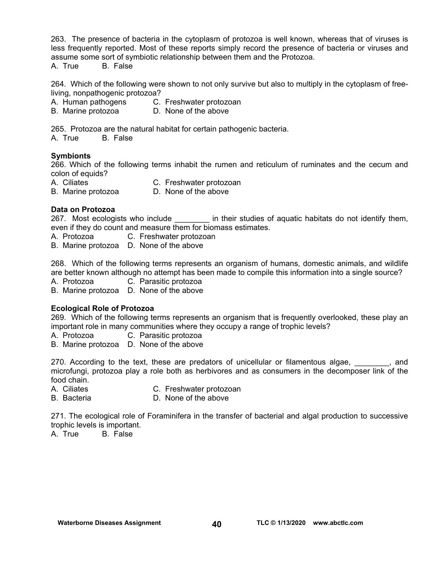263. The presence of bacteria in the cytoplasm of protozoa is well known, whereas that of viruses is less frequently reported. Most of these reports simply record the presence of bacteria or viruses and assume some sort of symbiotic relationship between them and the Protozoa.

A. True B. False

264. Which of the following were shown to not only survive but also to multiply in the cytoplasm of freeliving, nonpathogenic protozoa?

A. Human pathogens C. Freshwater protozoan

B. Marine protozoa D. None of the above

265. Protozoa are the natural habitat for certain pathogenic bacteria.

A. True B. False

#### **Symbionts**

266. Which of the following terms inhabit the rumen and reticulum of ruminates and the cecum and colon of equids?

A. Ciliates C. Freshwater protozoan

B. Marine protozoa D. None of the above

#### **Data on Protozoa**

267.Most ecologists who include \_\_\_\_\_\_\_\_ in their studies of aquatic habitats do not identify them, even if they do count and measure them for biomass estimates.

A. Protozoa C. Freshwater protozoan

B. Marine protozoa D. None of the above

268. Which of the following terms represents an organism of humans, domestic animals, and wildlife are better known although no attempt has been made to compile this information into a single source?

A. Protozoa C. Parasitic protozoa

B. Marine protozoa D. None of the above

#### **Ecological Role of Protozoa**

269. Which of the following terms represents an organism that is frequently overlooked, these play an important role in many communities where they occupy a range of trophic levels?

A. Protozoa C. Parasitic protozoa

B. Marine protozoa D. None of the above

270. According to the text, these are predators of unicellular or filamentous algae, when the sand microfungi, protozoa play a role both as herbivores and as consumers in the decomposer link of the food chain.

- A. Ciliates C. Freshwater protozoan
- B. Bacteria D. None of the above

271. The ecological role of Foraminifera in the transfer of bacterial and algal production to successive trophic levels is important.

A. True B. False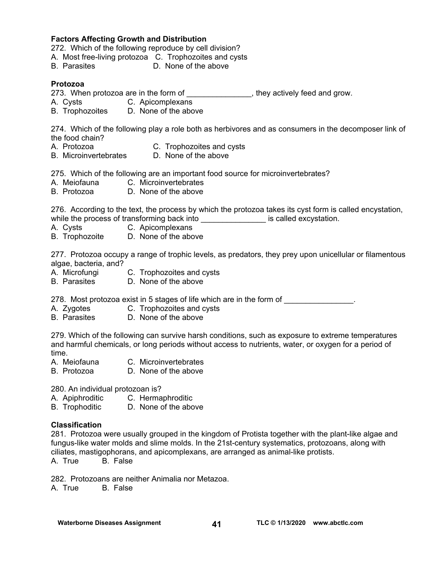#### **Factors Affecting Growth and Distribution**

272.Which of the following reproduce by cell division?

- A. Most free-living protozoa C. Trophozoites and cysts
- B. Parasites D. None of the above

#### **Protozoa**

- 273. When protozoa are in the form of \_\_\_\_\_\_\_\_\_\_\_\_\_\_, they actively feed and grow.
- A. Cysts C. Apicomplexans
- B. Trophozoites D. None of the above

274. Which of the following play a role both as herbivores and as consumers in the decomposer link of the food chain?

- A. Protozoa C. Trophozoites and cysts
- B. Microinvertebrates D. None of the above

275. Which of the following are an important food source for microinvertebrates?

- A. Meiofauna C. Microinvertebrates
- B. Protozoa D. None of the above

276. According to the text, the process by which the protozoa takes its cyst form is called encystation, while the process of transforming back into **the excited excystation**.

- A. Cysts C. Apicomplexans
- B. Trophozoite D. None of the above

277. Protozoa occupy a range of trophic levels, as predators, they prey upon unicellular or filamentous algae, bacteria, and?

- A. Microfungi C. Trophozoites and cysts
- B. Parasites D. None of the above

278. Most protozoa exist in 5 stages of life which are in the form of

- A. Zygotes C. Trophozoites and cysts
- B. Parasites D. None of the above

279. Which of the following can survive harsh conditions, such as exposure to extreme temperatures and harmful chemicals, or long periods without access to nutrients, water, or oxygen for a period of time.

- A. Meiofauna C. Microinvertebrates
- B. Protozoa D. None of the above

280. An individual protozoan is?

- A. Apiphroditic C. Hermaphroditic
- B. Trophoditic D. None of the above

#### **Classification**

281. Protozoa were usually grouped in the kingdom of Protista together with the plant-like algae and fungus-like water molds and slime molds. In the 21st-century systematics, protozoans, along with ciliates, mastigophorans, and apicomplexans, are arranged as animal-like protists.

A. True B. False

282. Protozoans are neither Animalia nor Metazoa.

A. True B. False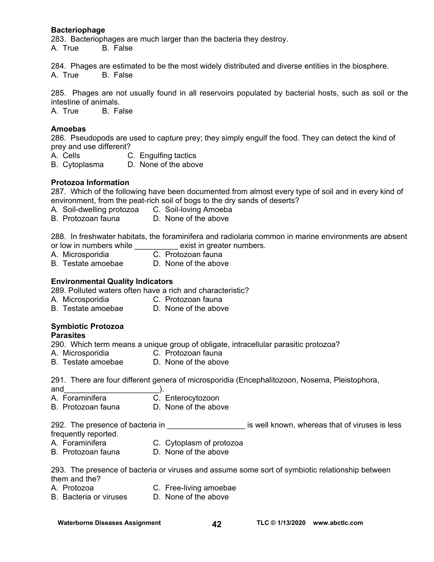#### **Bacteriophage**

283. Bacteriophages are much larger than the bacteria they destroy. A. True B. False

284. Phages are estimated to be the most widely distributed and diverse entities in the biosphere. A. True B. False

285. Phages are not usually found in all reservoirs populated by bacterial hosts, such as soil or the intestine of animals.

A. True B. False

#### **Amoebas**

286. Pseudopods are used to capture prey; they simply engulf the food. They can detect the kind of prey and use different?

A. Cells **C. Engulfing tactics** 

B. Cytoplasma D. None of the above

#### **Protozoa Information**

287. Which of the following have been documented from almost every type of soil and in every kind of environment, from the peat-rich soil of bogs to the dry sands of deserts?

- A. Soil-dwelling protozoa C. Soil-loving Amoeba
- B. Protozoan fauna D. None of the above

288. In freshwater habitats, the foraminifera and radiolaria common in marine environments are absent or low in numbers while exist in greater numbers.

- A. Microsporidia C. Protozoan fauna
- B. Testate amoebae D. None of the above

#### **Environmental Quality Indicators**

289. Polluted waters often have a rich and characteristic?

- A. Microsporidia C. Protozoan fauna
- B. Testate amoebae D. None of the above

#### **Symbiotic Protozoa**

#### **Parasites**

290. Which term means a unique group of obligate, intracellular parasitic protozoa?

- A. Microsporidia C. Protozoan fauna
- B. Testate amoebae D. None of the above

291. There are four different genera of microsporidia (Encephalitozoon, Nosema, Pleistophora,

- 
- and\_\_\_\_\_\_\_\_\_\_\_\_\_\_\_\_\_\_\_\_\_\_). C. Enterocytozoon
- B. Protozoan fauna D. None of the above

292. The presence of bacteria in **the set of the set of viruses is less** is less frequently reported.

- A. Foraminifera C. Cytoplasm of protozoa
- 
- B. Protozoan fauna D. None of the above

293. The presence of bacteria or viruses and assume some sort of symbiotic relationship between them and the?

- A. Protozoa C. Free-living amoebae
- B. Bacteria or viruses D. None of the above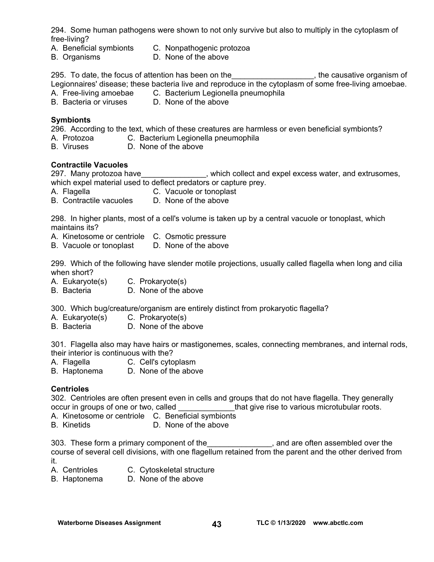294. Some human pathogens were shown to not only survive but also to multiply in the cytoplasm of free-living?

- A. Beneficial symbionts C. Nonpathogenic protozoa
- B. Organisms D. None of the above

295. To date, the focus of attention has been on the entitled and more causative organism of Legionnaires' disease; these bacteria live and reproduce in the cytoplasm of some free-living amoebae.

- A. Free-living amoebae C. Bacterium Legionella pneumophila
- B. Bacteria or viruses D. None of the above

#### **Symbionts**

296. According to the text, which of these creatures are harmless or even beneficial symbionts?

- A. Protozoa C. Bacterium Legionella pneumophila
- B. Viruses D. None of the above

#### **Contractile Vacuoles**

297. Many protozoa have\_\_\_\_\_\_\_\_\_\_\_\_\_\_\_, which collect and expel excess water, and extrusomes, which expel material used to deflect predators or capture prey.

- A. Flagella C. Vacuole or tonoplast
- B. Contractile vacuoles D. None of the above

298. In higher plants, most of a cell's volume is taken up by a central vacuole or tonoplast, which maintains its?

A. Kinetosome or centriole C. Osmotic pressure

B. Vacuole or tonoplast D. None of the above

299. Which of the following have slender motile projections, usually called flagella when long and cilia when short?

- A. Eukaryote(s) C. Prokaryote(s)
- B. Bacteria D. None of the above

300. Which bug/creature/organism are entirely distinct from prokaryotic flagella?

- A. Eukaryote(s) C. Prokaryote(s)
- B. Bacteria D. None of the above

301. Flagella also may have hairs or mastigonemes, scales, connecting membranes, and internal rods, their interior is continuous with the?

- A. Flagella C. Cell's cytoplasm
- B. Haptonema D. None of the above

#### **Centrioles**

302. Centrioles are often present even in cells and groups that do not have flagella. They generally occur in groups of one or two, called \_\_\_\_\_\_\_\_\_\_\_\_\_that give rise to various microtubular roots.

- A. Kinetosome or centriole C. Beneficial symbionts
- B. Kinetids D. None of the above

303. These form a primary component of the the case and are often assembled over the course of several cell divisions, with one flagellum retained from the parent and the other derived from it.

- A. Centrioles C. Cytoskeletal structure
- B. Haptonema D. None of the above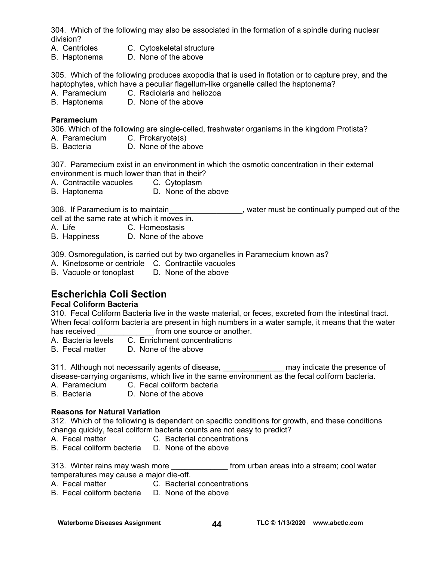304. Which of the following may also be associated in the formation of a spindle during nuclear division?

- A. Centrioles C. Cytoskeletal structure
- B. Haptonema D. None of the above

305. Which of the following produces axopodia that is used in flotation or to capture prey, and the haptophytes, which have a peculiar flagellum-like organelle called the haptonema?

- A. Paramecium C. Radiolaria and heliozoa
- B. Haptonema D. None of the above

#### **Paramecium**

306. Which of the following are single-celled, freshwater organisms in the kingdom Protista?

- A. Paramecium C. Prokaryote(s)
- B. Bacteria D. None of the above

307. Paramecium exist in an environment in which the osmotic concentration in their external

- environment is much lower than that in their?
- A. Contractile vacuoles C. Cytoplasm
- B. Haptonema D. None of the above

308. If Paramecium is to maintain \_\_\_\_\_\_\_\_\_\_\_\_\_\_, water must be continually pumped out of the cell at the same rate at which it moves in.

- A. Life C. Homeostasis
- B. Happiness D. None of the above

309. Osmoregulation, is carried out by two organelles in Paramecium known as?

- A. Kinetosome or centriole C. Contractile vacuoles
- B. Vacuole or tonoplast D. None of the above

# **Escherichia Coli Section**

## **Fecal Coliform Bacteria**

310. Fecal Coliform Bacteria live in the waste material, or feces, excreted from the intestinal tract. When fecal coliform bacteria are present in high numbers in a water sample, it means that the water has received **the source of another.** 

- A. Bacteria levels C. Enrichment concentrations
- B. Fecal matter D. None of the above

311. Although not necessarily agents of disease, \_\_\_\_\_\_\_\_\_\_\_\_\_\_\_ may indicate the presence of disease-carrying organisms, which live in the same environment as the fecal coliform bacteria.

- A. Paramecium C. Fecal coliform bacteria
- B. Bacteria D. None of the above

## **Reasons for Natural Variation**

312. Which of the following is dependent on specific conditions for growth, and these conditions change quickly, fecal coliform bacteria counts are not easy to predict?

- A. Fecal matter C. Bacterial concentrations
- B. Fecal coliform bacteria D. None of the above

313. Winter rains may wash more **the end of the stream** more that is a stream; cool water temperatures may cause a major die-off.

- A. Fecal matter C. Bacterial concentrations
- B. Fecal coliform bacteria D. None of the above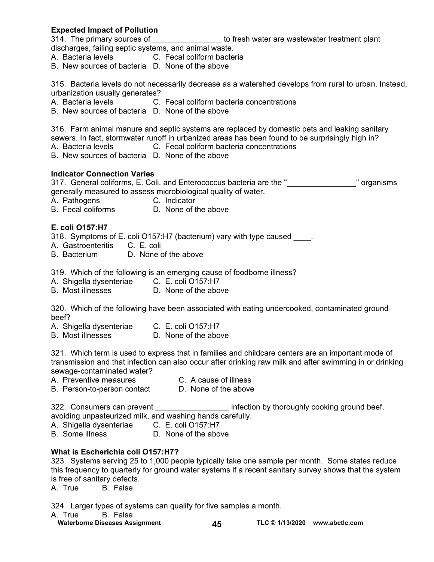#### **Expected Impact of Pollution**

314. The primary sources of **Example 20** to fresh water are wastewater treatment plant discharges, failing septic systems, and animal waste.

- A. Bacteria levels **C. Fecal coliform bacteria**
- B. New sources of bacteria D. None of the above

315. Bacteria levels do not necessarily decrease as a watershed develops from rural to urban. Instead, urbanization usually generates?

- A. Bacteria levels **C. Fecal coliform bacteria concentrations**
- B. New sources of bacteria D. None of the above

316. Farm animal manure and septic systems are replaced by domestic pets and leaking sanitary sewers. In fact, stormwater runoff in urbanized areas has been found to be surprisingly high in?

- A. Bacteria levels **C. Fecal coliform bacteria concentrations**
- B. New sources of bacteria D. None of the above

#### **Indicator Connection Varies**

317. General coliforms, E. Coli, and Enterococcus bacteria are the " The magnisms " organisms generally measured to assess microbiological quality of water.

A. Pathogens C. Indicator

B. Fecal coliforms D. None of the above

#### **E. coli O157:H7**

318. Symptoms of E. coli O157:H7 (bacterium) vary with type caused .

- A. Gastroenteritis C. E. coli
- B. Bacterium D. None of the above

319. Which of the following is an emerging cause of foodborne illness?

- A. Shigella dysenteriae C. E. coli O157:H7
- B. Most illnesses D. None of the above

320. Which of the following have been associated with eating undercooked, contaminated ground beef?

- A. Shigella dysenteriae C. E. coli O157:H7
- B. Most illnesses D. None of the above

321. Which term is used to express that in families and childcare centers are an important mode of transmission and that infection can also occur after drinking raw milk and after swimming in or drinking sewage-contaminated water?

A. Preventive measures C. A cause of illness<br>B. Person-to-person contact D. None of the above B. Person-to-person contact

322. Consumers can prevent **Exercise 2018** infection by thoroughly cooking ground beef, avoiding unpasteurized milk, and washing hands carefully.

A. Shigella dysenteriae C. E. coli O157:H7

B. Some illness D. None of the above

#### **What is Escherichia coli O157:H7?**

323. Systems serving 25 to 1,000 people typically take one sample per month. Some states reduce this frequency to quarterly for ground water systems if a recent sanitary survey shows that the system is free of sanitary defects.

A. True B. False

324. Larger types of systems can qualify for five samples a month.

A. True B. False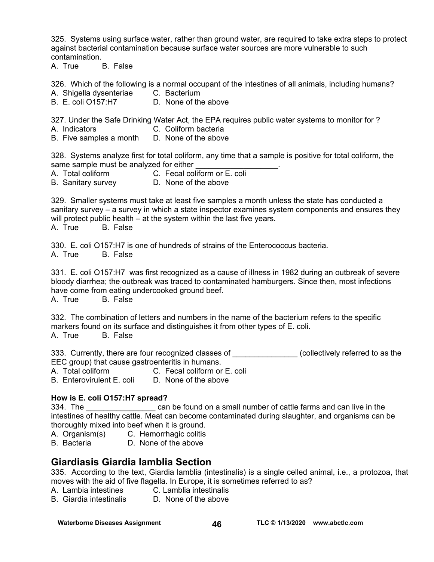325. Systems using surface water, rather than ground water, are required to take extra steps to protect against bacterial contamination because surface water sources are more vulnerable to such contamination.

A. True B. False

326. Which of the following is a normal occupant of the intestines of all animals, including humans?

- A. Shigella dysenteriae C. Bacterium
- B. E. coli O157:H7 D. None of the above

327. Under the Safe Drinking Water Act, the EPA requires public water systems to monitor for ?

- A. Indicators C. Coliform bacteria
- B. Five samples a month D. None of the above

328. Systems analyze first for total coliform, any time that a sample is positive for total coliform, the same sample must be analyzed for either

- A. Total coliform C. Fecal coliform or E. coli
- B. Sanitary survey **D. None of the above**

329. Smaller systems must take at least five samples a month unless the state has conducted a sanitary survey – a survey in which a state inspector examines system components and ensures they will protect public health – at the system within the last five years.

A. True B. False

330. E. coli O157:H7 is one of hundreds of strains of the Enterococcus bacteria. A. True B. False

331. E. coli O157:H7 was first recognized as a cause of illness in 1982 during an outbreak of severe bloody diarrhea; the outbreak was traced to contaminated hamburgers. Since then, most infections have come from eating undercooked ground beef.

A. True B. False

332. The combination of letters and numbers in the name of the bacterium refers to the specific markers found on its surface and distinguishes it from other types of E. coli. A. True B. False

333. Currently, there are four recognized classes of  $\Box$  (collectively referred to as the EEC group) that cause gastroenteritis in humans.

A. Total coliform **C. Fecal coliform or E. coli**<br>B. Enterovirulent F. coli D. None of the above

B. Enterovirulent E. coli

#### **How is E. coli O157:H7 spread?**

334. The **the can be found on a small number of cattle farms and can live in the** intestines of healthy cattle. Meat can become contaminated during slaughter, and organisms can be thoroughly mixed into beef when it is ground.

A. Organism(s) C. Hemorrhagic colitis

B. Bacteria D. None of the above

# **Giardiasis Giardia lamblia Section**

335. According to the text, Giardia lamblia (intestinalis) is a single celled animal, i.e., a protozoa, that moves with the aid of five flagella. In Europe, it is sometimes referred to as?

- A. Lambia intestines C. Lamblia intestinalis
- B. Giardia intestinalis D. None of the above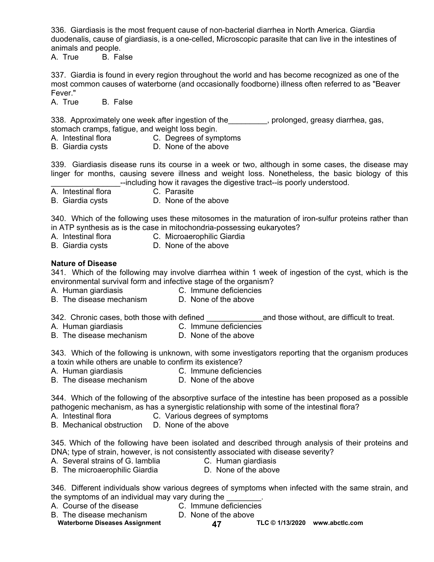336. Giardiasis is the most frequent cause of non-bacterial diarrhea in North America. Giardia duodenalis, cause of giardiasis, is a one-celled, Microscopic parasite that can live in the intestines of animals and people.

A. True B. False

337. Giardia is found in every region throughout the world and has become recognized as one of the most common causes of waterborne (and occasionally foodborne) illness often referred to as "Beaver Fever."

A. True B. False

338. Approximately one week after ingestion of the same prolonged, greasy diarrhea, gas, stomach cramps, fatigue, and weight loss begin.

- A. Intestinal flora C. Degrees of symptoms
- B. Giardia cysts D. None of the above

339. Giardiasis disease runs its course in a week or two, although in some cases, the disease may linger for months, causing severe illness and weight loss. Nonetheless, the basic biology of this **EXECUTE:** The end of the digestive tract--is poorly understood.

A. Intestinal flora **C. Parasite** 

- 
- B. Giardia cysts D. None of the above

340. Which of the following uses these mitosomes in the maturation of iron-sulfur proteins rather than in ATP synthesis as is the case in mitochondria-possessing eukaryotes?

- A. Intestinal flora C. Microaerophilic Giardia
- 
- B. Giardia cysts D. None of the above

#### **Nature of Disease**

341. Which of the following may involve diarrhea within 1 week of ingestion of the cyst, which is the environmental survival form and infective stage of the organism?

- A. Human giardiasis **C. Immune deficiencies**
- B. The disease mechanism D. None of the above

342. Chronic cases, both those with defined and those without, are difficult to treat.

- A. Human giardiasis C. Immune deficiencies
	-
- B. The disease mechanism D. None of the above

343. Which of the following is unknown, with some investigators reporting that the organism produces a toxin while others are unable to confirm its existence?

A. Human giardiasis C. Immune deficiencies

B. The disease mechanism D. None of the above

344. Which of the following of the absorptive surface of the intestine has been proposed as a possible pathogenic mechanism, as has a synergistic relationship with some of the intestinal flora?

- A. Intestinal flora C. Various degrees of symptoms
- B. Mechanical obstruction D. None of the above

345. Which of the following have been isolated and described through analysis of their proteins and DNA; type of strain, however, is not consistently associated with disease severity?

- A. Several strains of G. lamblia C. Human giardiasis
	-
- B. The microaerophilic Giardia **D.** None of the above
- 

346. Different individuals show various degrees of symptoms when infected with the same strain, and the symptoms of an individual may vary during the  $\frac{1}{2}$ .<br>A. Course of the disease  $\frac{1}{2}$ . C. Immune deficiencies

- A. Course of the disease
- 
- B. The disease mechanism D. None of the above
- 

Waterborne Diseases Assignment **47 TLC © 1/13/2020** www.abctlc.com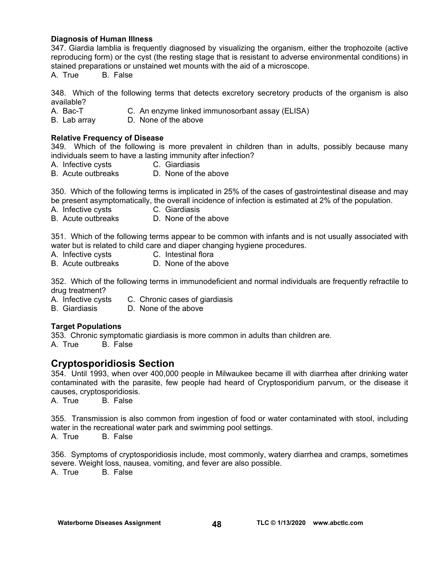#### **Diagnosis of Human Illness**

347. Giardia lamblia is frequently diagnosed by visualizing the organism, either the trophozoite (active reproducing form) or the cyst (the resting stage that is resistant to adverse environmental conditions) in stained preparations or unstained wet mounts with the aid of a microscope.

A. True B. False

348. Which of the following terms that detects excretory secretory products of the organism is also available?

- A. Bac-T C. An enzyme linked immunosorbant assay (ELISA)
- B. Lab array D. None of the above

#### **Relative Frequency of Disease**

349. Which of the following is more prevalent in children than in adults, possibly because many individuals seem to have a lasting immunity after infection?

- A. Infective cysts **C. Giardiasis**
- B. Acute outbreaks D. None of the above

350. Which of the following terms is implicated in 25% of the cases of gastrointestinal disease and may be present asymptomatically, the overall incidence of infection is estimated at 2% of the population.

- A. Infective cysts C. Giardiasis
- B. Acute outbreaks D. None of the above

351. Which of the following terms appear to be common with infants and is not usually associated with water but is related to child care and diaper changing hygiene procedures.

- A. Infective cysts C. Intestinal flora
- B. Acute outbreaks D. None of the above

352. Which of the following terms in immunodeficient and normal individuals are frequently refractile to drug treatment?

- A. Infective cysts C. Chronic cases of giardiasis
- B. Giardiasis D. None of the above

#### **Target Populations**

353. Chronic symptomatic giardiasis is more common in adults than children are.<br>A. True B. False

B. False

## **Cryptosporidiosis Section**

354. Until 1993, when over 400,000 people in Milwaukee became ill with diarrhea after drinking water contaminated with the parasite, few people had heard of Cryptosporidium parvum, or the disease it causes, cryptosporidiosis.

A. True B. False

355. Transmission is also common from ingestion of food or water contaminated with stool, including water in the recreational water park and swimming pool settings.

A. True B. False

356. Symptoms of cryptosporidiosis include, most commonly, watery diarrhea and cramps, sometimes severe. Weight loss, nausea, vomiting, and fever are also possible.

A. True B. False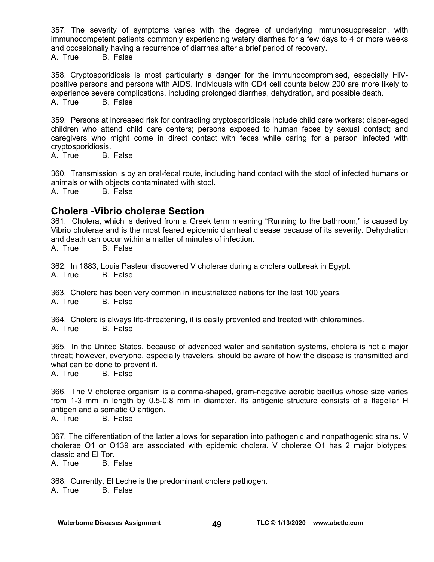357. The severity of symptoms varies with the degree of underlying immunosuppression, with immunocompetent patients commonly experiencing watery diarrhea for a few days to 4 or more weeks and occasionally having a recurrence of diarrhea after a brief period of recovery. A. True B. False

358. Cryptosporidiosis is most particularly a danger for the immunocompromised, especially HIVpositive persons and persons with AIDS. Individuals with CD4 cell counts below 200 are more likely to experience severe complications, including prolonged diarrhea, dehydration, and possible death. A. True B. False

359. Persons at increased risk for contracting cryptosporidiosis include child care workers; diaper-aged children who attend child care centers; persons exposed to human feces by sexual contact; and caregivers who might come in direct contact with feces while caring for a person infected with cryptosporidiosis.

A. True B. False

360. Transmission is by an oral-fecal route, including hand contact with the stool of infected humans or animals or with objects contaminated with stool.

A. True B. False

## **Cholera -Vibrio cholerae Section**

361. Cholera, which is derived from a Greek term meaning "Running to the bathroom," is caused by Vibrio cholerae and is the most feared epidemic diarrheal disease because of its severity. Dehydration and death can occur within a matter of minutes of infection.

A. True B. False

362. In 1883, Louis Pasteur discovered V cholerae during a cholera outbreak in Egypt. A. True B. False

363. Cholera has been very common in industrialized nations for the last 100 years. A. True B. False

364. Cholera is always life-threatening, it is easily prevented and treated with chloramines. A. True B. False

365. In the United States, because of advanced water and sanitation systems, cholera is not a major threat; however, everyone, especially travelers, should be aware of how the disease is transmitted and what can be done to prevent it.<br>A. True B. False

B. False

366. The V cholerae organism is a comma-shaped, gram-negative aerobic bacillus whose size varies from 1-3 mm in length by 0.5-0.8 mm in diameter. Its antigenic structure consists of a flagellar H antigen and a somatic O antigen. A. True B. False

367. The differentiation of the latter allows for separation into pathogenic and nonpathogenic strains. V cholerae O1 or O139 are associated with epidemic cholera. V cholerae O1 has 2 major biotypes: classic and El Tor.

A. True B. False

368. Currently, El Leche is the predominant cholera pathogen. A. True B. False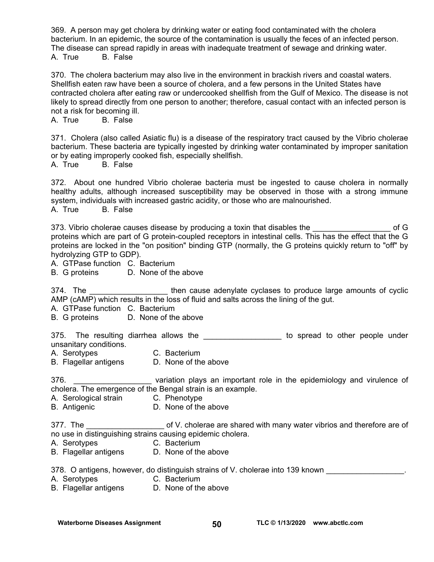369. A person may get cholera by drinking water or eating food contaminated with the cholera bacterium. In an epidemic, the source of the contamination is usually the feces of an infected person. The disease can spread rapidly in areas with inadequate treatment of sewage and drinking water. A. True B. False

370. The cholera bacterium may also live in the environment in brackish rivers and coastal waters. Shellfish eaten raw have been a source of cholera, and a few persons in the United States have contracted cholera after eating raw or undercooked shellfish from the Gulf of Mexico. The disease is not likely to spread directly from one person to another; therefore, casual contact with an infected person is not a risk for becoming ill.

A. True B. False

371. Cholera (also called Asiatic flu) is a disease of the respiratory tract caused by the Vibrio cholerae bacterium. These bacteria are typically ingested by drinking water contaminated by improper sanitation or by eating improperly cooked fish, especially shellfish.

A. True B. False

372. About one hundred Vibrio cholerae bacteria must be ingested to cause cholera in normally healthy adults, although increased susceptibility may be observed in those with a strong immune system, individuals with increased gastric acidity, or those who are malnourished. A. True B. False

373. Vibrio cholerae causes disease by producing a toxin that disables the example of G proteins which are part of G protein-coupled receptors in intestinal cells. This has the effect that the G proteins are locked in the "on position" binding GTP (normally, the G proteins quickly return to "off" by hydrolyzing GTP to GDP).

A. GTPase function C. Bacterium

B. G proteins D. None of the above

374. The \_\_\_\_\_\_\_\_\_\_\_\_\_\_\_\_\_\_\_\_ then cause adenylate cyclases to produce large amounts of cyclic AMP (cAMP) which results in the loss of fluid and salts across the lining of the gut.

A. GTPase function C. Bacterium

B. G proteins D. None of the above

375. The resulting diarrhea allows the \_\_\_\_\_\_\_\_\_\_\_\_\_\_\_\_\_\_\_\_ to spread to other people under unsanitary conditions.

A. Serotypes C. Bacterium

B. Flagellar antigens D. None of the above

376. \_\_\_\_\_\_\_\_\_\_\_\_\_\_\_\_\_\_\_\_\_ variation plays an important role in the epidemiology and virulence of cholera. The emergence of the Bengal strain is an example.

- A. Serological strain C. Phenotype
- B. Antigenic **D. None of the above**

377. The \_\_\_\_\_\_\_\_\_\_\_\_\_\_\_\_\_\_\_\_\_ of V. cholerae are shared with many water vibrios and therefore are of no use in distinguishing strains causing epidemic cholera.

- A. Serotypes C. Bacterium
- B. Flagellar antigens D. None of the above

378. O antigens, however, do distinguish strains of V. cholerae into 139 known

- A. Serotypes C. Bacterium
- B. Flagellar antigens D. None of the above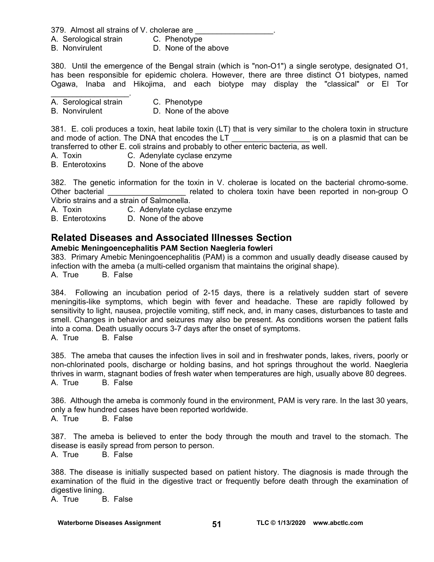379. Almost all strains of V. cholerae are

- A. Serological strain C. Phenotype
- B. Nonvirulent D. None of the above

380. Until the emergence of the Bengal strain (which is "non-O1") a single serotype, designated O1, has been responsible for epidemic cholera. However, there are three distinct O1 biotypes, named Ogawa, Inaba and Hikojima, and each biotype may display the "classical" or El Tor

 $\mathcal{L}_\text{max}$  and  $\mathcal{L}_\text{max}$  and  $\mathcal{L}_\text{max}$ A. Serological strain C. Phenotype

#### B. Nonvirulent D. None of the above

381. E. coli produces a toxin, heat labile toxin (LT) that is very similar to the cholera toxin in structure and mode of action. The DNA that encodes the LT entity is on a plasmid that can be transferred to other E. coli strains and probably to other enteric bacteria, as well.

- A. Toxin C. Adenylate cyclase enzyme
- B. Enterotoxins D. None of the above

382. The genetic information for the toxin in V. cholerae is located on the bacterial chromo-some. Other bacterial **Deta in the contract of the choice** related to cholera toxin have been reported in non-group O Vibrio strains and a strain of Salmonella.

- A. Toxin C. Adenylate cyclase enzyme
- B. Enterotoxins D. None of the above

# **Related Diseases and Associated Illnesses Section**

#### **Amebic Meningoencephalitis PAM Section Naegleria fowleri**

383. Primary Amebic Meningoencephalitis (PAM) is a common and usually deadly disease caused by infection with the ameba (a multi-celled organism that maintains the original shape).

A. True B. False

384. Following an incubation period of 2-15 days, there is a relatively sudden start of severe meningitis-like symptoms, which begin with fever and headache. These are rapidly followed by sensitivity to light, nausea, projectile vomiting, stiff neck, and, in many cases, disturbances to taste and smell. Changes in behavior and seizures may also be present. As conditions worsen the patient falls into a coma. Death usually occurs 3-7 days after the onset of symptoms. A. True B. False

385. The ameba that causes the infection lives in soil and in freshwater ponds, lakes, rivers, poorly or non-chlorinated pools, discharge or holding basins, and hot springs throughout the world. Naegleria thrives in warm, stagnant bodies of fresh water when temperatures are high, usually above 80 degrees. A. True B. False

386. Although the ameba is commonly found in the environment, PAM is very rare. In the last 30 years, only a few hundred cases have been reported worldwide. A. True B. False

387. The ameba is believed to enter the body through the mouth and travel to the stomach. The disease is easily spread from person to person. A. True B. False

388. The disease is initially suspected based on patient history. The diagnosis is made through the examination of the fluid in the digestive tract or frequently before death through the examination of digestive lining.

A. True B. False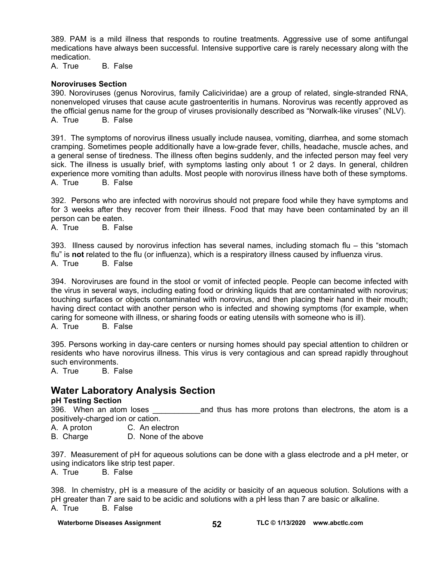389. PAM is a mild illness that responds to routine treatments. Aggressive use of some antifungal medications have always been successful. Intensive supportive care is rarely necessary along with the medication.

A. True B. False

#### **Noroviruses Section**

390. Noroviruses (genus Norovirus, family Caliciviridae) are a group of related, single-stranded RNA, nonenveloped viruses that cause acute gastroenteritis in humans. Norovirus was recently approved as the official genus name for the group of viruses provisionally described as "Norwalk-like viruses" (NLV). A. True B. False

391. The symptoms of norovirus illness usually include nausea, vomiting, diarrhea, and some stomach cramping. Sometimes people additionally have a low-grade fever, chills, headache, muscle aches, and a general sense of tiredness. The illness often begins suddenly, and the infected person may feel very sick. The illness is usually brief, with symptoms lasting only about 1 or 2 days. In general, children experience more vomiting than adults. Most people with norovirus illness have both of these symptoms. A. True B. False

392. Persons who are infected with norovirus should not prepare food while they have symptoms and for 3 weeks after they recover from their illness. Food that may have been contaminated by an ill person can be eaten.

A. True B. False

393. Illness caused by norovirus infection has several names, including stomach flu – this "stomach flu" is **not** related to the flu (or influenza), which is a respiratory illness caused by influenza virus. A. True B. False

394. Noroviruses are found in the stool or vomit of infected people. People can become infected with the virus in several ways, including eating food or drinking liquids that are contaminated with norovirus; touching surfaces or objects contaminated with norovirus, and then placing their hand in their mouth; having direct contact with another person who is infected and showing symptoms (for example, when caring for someone with illness, or sharing foods or eating utensils with someone who is ill). A. True B. False

395. Persons working in day-care centers or nursing homes should pay special attention to children or residents who have norovirus illness. This virus is very contagious and can spread rapidly throughout such environments.

A. True B. False

# **Water Laboratory Analysis Section**

#### **pH Testing Section**

396. When an atom loses \_\_\_\_\_\_\_\_\_\_\_and thus has more protons than electrons, the atom is a positively-charged ion or cation.

A. A proton C. An electron

B. Charge D. None of the above

397. Measurement of pH for aqueous solutions can be done with a glass electrode and a pH meter, or using indicators like strip test paper.

A. True B. False

398. In chemistry, pH is a measure of the acidity or basicity of an aqueous solution. Solutions with a pH greater than 7 are said to be acidic and solutions with a pH less than 7 are basic or alkaline. A. True B. False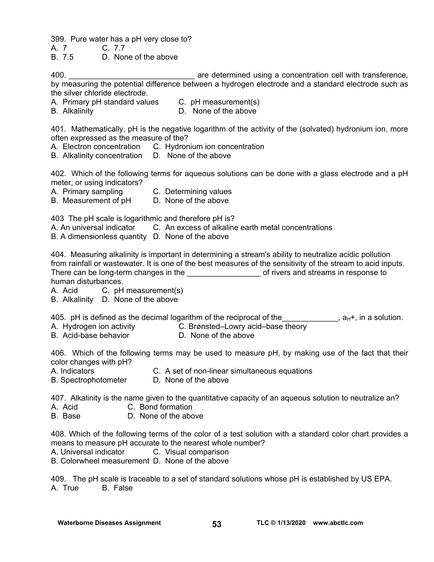399. Pure water has a pH very close to?

A. 7 C. 7.7

B. 7.5 D. None of the above

400. **Example 2018** are determined using a concentration cell with transference, by measuring the potential difference between a hydrogen electrode and a standard electrode such as the silver chloride electrode.

A. Primary pH standard values C. pH measurement(s)

B. Alkalinity D. None of the above

401. Mathematically, pH is the negative logarithm of the activity of the (solvated) hydronium ion, more often expressed as the measure of the?

- A. Electron concentration C. Hydronium ion concentration
- B. Alkalinity concentration D. None of the above

402. Which of the following terms for aqueous solutions can be done with a glass electrode and a pH meter, or using indicators?

A. Primary sampling C. Determining values

B. Measurement of pH D. None of the above

403 The pH scale is logarithmic and therefore pH is?

A. An universal indicator C. An excess of alkaline earth metal concentrations

B. A dimensionless quantity D. None of the above

404. Measuring alkalinity is important in determining a stream's ability to neutralize acidic pollution from rainfall or wastewater. It is one of the best measures of the sensitivity of the stream to acid inputs. There can be long-term changes in the the state of rivers and streams in response to human disturbances.

A. Acid C. pH measurement(s)

B. Alkalinity D. None of the above

405. pH is defined as the decimal logarithm of the reciprocal of the  $\Box$  , a<sub>H</sub>+, in a solution.

A. Hydrogen ion activity **C. Brønsted–Lowry acid–base** theory

B. Acid-base behavior **D. None of the above** 

406. Which of the following terms may be used to measure pH, by making use of the fact that their color changes with pH?

A. Indicators C. A set of non-linear simultaneous equations

B. SpectrophotometerD. None of the above

407. Alkalinity is the name given to the quantitative capacity of an aqueous solution to neutralize an?

- A. Acid C. Bond formation
- B. Base D. None of the above

408. Which of the following terms of the color of a test solution with a standard color chart provides a means to measure pH accurate to the nearest whole number?

A. Universal indicator C. Visual comparison

B. Colorwheel measurement D. None of the above

409. The pH scale is traceable to a set of standard solutions whose pH is established by US EPA. A. True B. False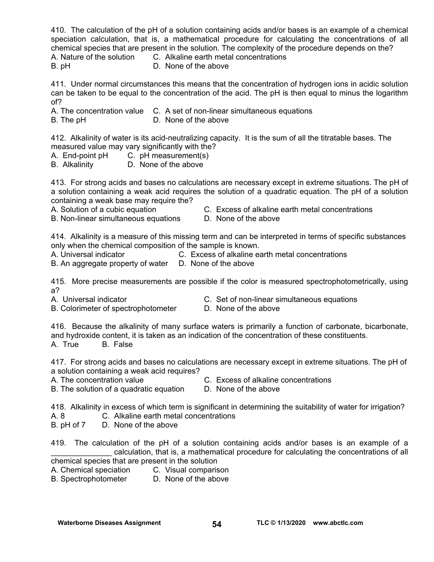410. The calculation of the pH of a solution containing acids and/or bases is an example of a chemical speciation calculation, that is, a mathematical procedure for calculating the concentrations of all chemical species that are present in the solution. The complexity of the procedure depends on the?

A. Nature of the solution C. Alkaline earth metal concentrations

B. pHD. None of the above

411. Under normal circumstances this means that the concentration of hydrogen ions in acidic solution can be taken to be equal to the concentration of the acid. The pH is then equal to minus the logarithm of?

A. The concentration value C. A set of non-linear simultaneous equations

B. The pH **D. None of the above** 

412. Alkalinity of water is its acid-neutralizing capacity. It is the sum of all the titratable bases. The measured value may vary significantly with the?

- A. End-point pH C. pH measurement(s)
- B. Alkalinity D. None of the above

413. For strong acids and bases no calculations are necessary except in extreme situations. The pH of a solution containing a weak acid requires the solution of a quadratic equation. The pH of a solution containing a weak base may require the?

- 
- A. Solution of a cubic equation C. Excess of alkaline earth metal concentrations
- B. Non-linear simultaneous equations D. None of the above
- 

414. Alkalinity is a measure of this missing term and can be interpreted in terms of specific substances only when the chemical composition of the sample is known.

A. Universal indicator C. Excess of alkaline earth metal concentrations

B. An aggregate property of water D. None of the above

415. More precise measurements are possible if the color is measured spectrophotometrically, using a?

- 
- A. Universal indicator **C.** Set of non-linear simultaneous equations
- B. Colorimeter of spectrophotometerD. None of the above
- 

416. Because the alkalinity of many surface waters is primarily a function of carbonate, bicarbonate, and hydroxide content, it is taken as an indication of the concentration of these constituents. A. True B. False

417. For strong acids and bases no calculations are necessary except in extreme situations. The pH of a solution containing a weak acid requires?

- 
- A. The concentration value C. Excess of alkaline concentrations

B. The solution of a quadratic equation D. None of the above

418. Alkalinity in excess of which term is significant in determining the suitability of water for irrigation?

- A. 8 C. Alkaline earth metal concentrations
- B. pH of 7 D. None of the above

419. The calculation of the pH of a solution containing acids and/or bases is an example of a \_\_\_\_\_\_\_\_\_\_\_\_\_\_ calculation, that is, a mathematical procedure for calculating the concentrations of all chemical species that are present in the solution

- A. Chemical speciation C. Visual comparison
- B. Spectrophotometer D. None of the above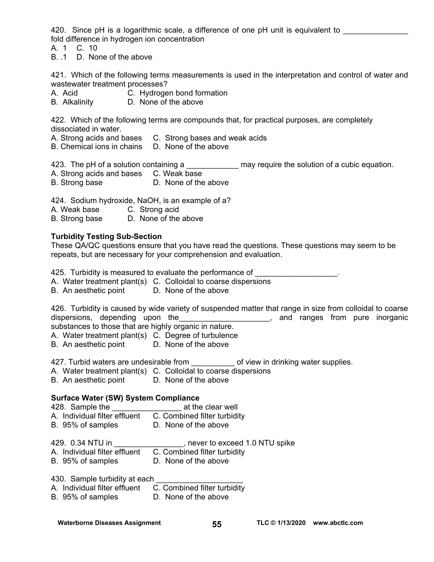420. Since pH is a logarithmic scale, a difference of one pH unit is equivalent to fold difference in hydrogen ion concentration

A. 1 C. 10

B. .1 D. None of the above

421. Which of the following terms measurements is used in the interpretation and control of water and wastewater treatment processes?

- A. Acid C. Hydrogen bond formation
- B. Alkalinity D. None of the above

422. Which of the following terms are compounds that, for practical purposes, are completely dissociated in water.

- A. Strong acids and bases C. Strong bases and weak acids
- B. Chemical ions in chains D. None of the above

423. The pH of a solution containing a \_\_\_\_\_\_\_\_\_\_\_\_\_\_ may require the solution of a cubic equation.

- A. Strong acids and bases C. Weak base
- B. Strong base **D.** None of the above

424. Sodium hydroxide, NaOH, is an example of a?

- A. Weak base C. Strong acid
- B. Strong base D. None of the above

#### **Turbidity Testing Sub-Section**

These QA/QC questions ensure that you have read the questions. These questions may seem to be repeats, but are necessary for your comprehension and evaluation.

425. Turbidity is measured to evaluate the performance of **EXECUTE 10** Fig.

- A. Water treatment plant(s) C. Colloidal to coarse dispersions
- B. An aesthetic point D. None of the above

426. Turbidity is caused by wide variety of suspended matter that range in size from colloidal to coarse dispersions, depending upon the **contained and ranges** from pure inorganic substances to those that are highly organic in nature.

A. Water treatment plant(s) C. Degree of turbulence

B. An aesthetic point D. None of the above

427. Turbid waters are undesirable from \_\_\_\_\_\_\_\_\_\_ of view in drinking water supplies.

- A. Water treatment plant(s) C. Colloidal to coarse dispersions
- B. An aesthetic point D. None of the above

## **Surface Water (SW) System Compliance**

428. Sample the **Example in the set of the clear well** A. Individual filter effluent C. Combined filter turbidity

- 
- B. 95% of samples D. None of the above

429. 0.34 NTU in \_\_\_\_\_\_\_\_\_\_\_\_\_\_\_\_, never to exceed 1.0 NTU spike

- A. Individual filter effluent C. Combined filter turbidity
- B. 95% of samples D. None of the above
- 430. Sample turbidity at each
- A. Individual filter effluent C. Combined filter turbidity
- B. 95% of samples D. None of the above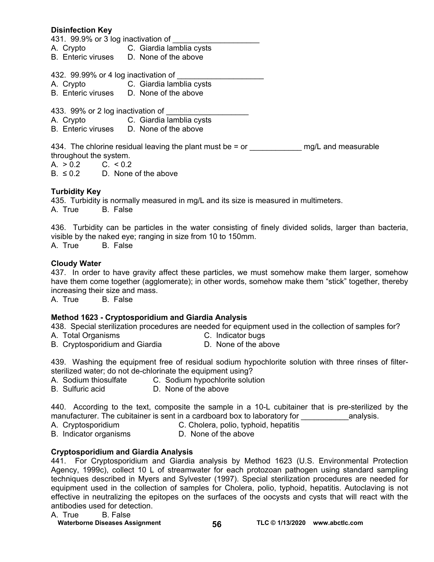#### **Disinfection Key**

431. 99.9% or 3 log inactivation of

- A. Crypto C. Giardia lamblia cysts
- B. Enteric viruses D. None of the above

432. 99.99% or 4 log inactivation of

- A. Crypto C. Giardia lamblia cysts
- B. Enteric viruses D. None of the above
- 433. 99% or 2 log inactivation of
- A. Crypto **C.** Giardia lamblia cysts<br>B. Enteric viruses D. None of the above
- D. None of the above

434. The chlorine residual leaving the plant must be  $=$  or  $\qquad \qquad$  mg/L and measurable throughout the system.

A.  $> 0.2$  C.  $< 0.2$ 

 $B. \leq 0.2$  D. None of the above

#### **Turbidity Key**

435. Turbidity is normally measured in mg/L and its size is measured in multimeters. A. True B. False

436. Turbidity can be particles in the water consisting of finely divided solids, larger than bacteria, visible by the naked eye; ranging in size from 10 to 150mm. A. True B. False

#### **Cloudy Water**

437. In order to have gravity affect these particles, we must somehow make them larger, somehow have them come together (agglomerate); in other words, somehow make them "stick" together, thereby increasing their size and mass.

A. True B. False

#### **Method 1623 - Cryptosporidium and Giardia Analysis**

438. Special sterilization procedures are needed for equipment used in the collection of samples for?

- 
- A. Total Organisms C. Indicator bugs B. Cryptosporidium and Giardia

439. Washing the equipment free of residual sodium hypochlorite solution with three rinses of filtersterilized water; do not de-chlorinate the equipment using?

- A. Sodium thiosulfate C. Sodium hypochlorite solution
- B. Sulfuric acid D. None of the above

440. According to the text, composite the sample in a 10-L cubitainer that is pre-sterilized by the manufacturer. The cubitainer is sent in a cardboard box to laboratory for analysis.

- A. Cryptosporidium C. Cholera, polio, typhoid, hepatitis
- B. Indicator organisms **D. None of the above**

#### **Cryptosporidium and Giardia Analysis**

441. For Cryptosporidium and Giardia analysis by Method 1623 (U.S. Environmental Protection Agency, 1999c), collect 10 L of streamwater for each protozoan pathogen using standard sampling techniques described in Myers and Sylvester (1997). Special sterilization procedures are needed for equipment used in the collection of samples for Cholera, polio, typhoid, hepatitis. Autoclaving is not effective in neutralizing the epitopes on the surfaces of the oocysts and cysts that will react with the antibodies used for detection.

#### A. True B. False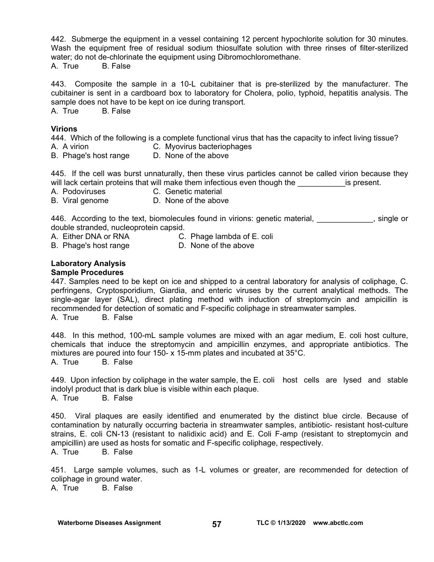442. Submerge the equipment in a vessel containing 12 percent hypochlorite solution for 30 minutes. Wash the equipment free of residual sodium thiosulfate solution with three rinses of filter-sterilized water; do not de-chlorinate the equipment using Dibromochloromethane.

A. True B. False

443. Composite the sample in a 10-L cubitainer that is pre-sterilized by the manufacturer. The cubitainer is sent in a cardboard box to laboratory for Cholera, polio, typhoid, hepatitis analysis. The sample does not have to be kept on ice during transport.

A. True B. False

#### **Virions**

444. Which of the following is a complete functional virus that has the capacity to infect living tissue?

- A. A virion C. Myovirus bacteriophages
- B. Phage's host range D. None of the above

445. If the cell was burst unnaturally, then these virus particles cannot be called virion because they will lack certain proteins that will make them infectious even though the \_\_\_\_\_\_\_\_\_\_\_\_\_\_is present.<br>A. Podoviruses \_\_\_\_\_\_\_\_\_\_\_\_C. Genetic material

- C. Genetic material
- B. Viral genome D. None of the above

446. According to the text, biomolecules found in virions: genetic material, entercontently single or double stranded, nucleoprotein capsid.

- A. Either DNA or RNA C. Phage lambda of E. coli
- A. Litner Diver of Nive Conserved Conserved B. Phage's host range D. None of the above

#### **Laboratory Analysis Sample Procedures**

447. Samples need to be kept on ice and shipped to a central laboratory for analysis of coliphage, C. perfringens, Cryptosporidium, Giardia, and enteric viruses by the current analytical methods. The single-agar layer (SAL), direct plating method with induction of streptomycin and ampicillin is recommended for detection of somatic and F-specific coliphage in streamwater samples. A. True B. False

448. In this method, 100-mL sample volumes are mixed with an agar medium, E. coli host culture, chemicals that induce the streptomycin and ampicillin enzymes, and appropriate antibiotics. The mixtures are poured into four 150- x 15-mm plates and incubated at 35°C. A. True B. False

449. Upon infection by coliphage in the water sample, the E. coli host cells are lysed and stable indolyl product that is dark blue is visible within each plaque. A. True B. False

450. Viral plaques are easily identified and enumerated by the distinct blue circle. Because of contamination by naturally occurring bacteria in streamwater samples, antibiotic- resistant host-culture strains, E. coli CN-13 (resistant to nalidixic acid) and E. Coli F-amp (resistant to streptomycin and ampicillin) are used as hosts for somatic and F-specific coliphage, respectively. A. True B. False

451. Large sample volumes, such as 1-L volumes or greater, are recommended for detection of coliphage in ground water. A. True B. False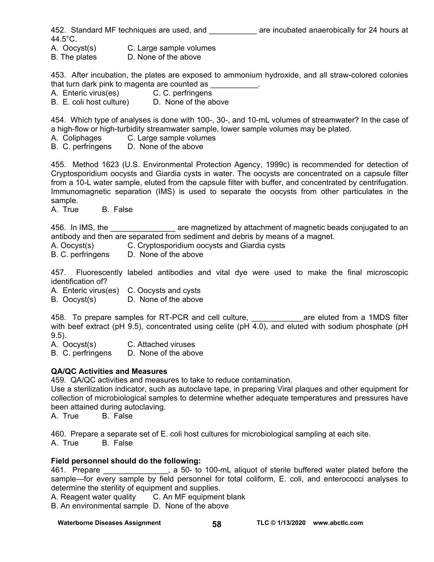452. Standard MF techniques are used, and \_\_\_\_\_\_\_\_\_\_\_\_\_ are incubated anaerobically for 24 hours at 44.5°C.

A. Oocyst(s) C. Large sample volumes

B. The plates **D. None of the above** 

453. After incubation, the plates are exposed to ammonium hydroxide, and all straw-colored colonies that turn dark pink to magenta are counted as  $\qquad \qquad$ .

A. Enteric virus(es) C. C. perfringens

B. E. coli host culture) D. None of the above

454. Which type of analyses is done with 100-, 30-, and 10-mL volumes of streamwater? In the case of a high-flow or high-turbidity streamwater sample, lower sample volumes may be plated.

A. Coliphages C. Large sample volumes

B. C. perfringens D. None of the above

455. Method 1623 (U.S. Environmental Protection Agency, 1999c) is recommended for detection of Cryptosporidium oocysts and Giardia cysts in water. The oocysts are concentrated on a capsule filter from a 10-L water sample, eluted from the capsule filter with buffer, and concentrated by centrifugation. Immunomagnetic separation (IMS) is used to separate the oocysts from other particulates in the sample.

A. True B. False

456. In IMS, the <u>second conservation are magnetized by attachment of magnetic beads conjugated to an</u> antibody and then are separated from sediment and debris by means of a magnet.

A. Oocyst(s) C. Cryptosporidium oocysts and Giardia cysts

B. C. perfringens D. None of the above

457. Fluorescently labeled antibodies and vital dye were used to make the final microscopic identification of?

A. Enteric virus(es) C. Oocysts and cysts

B. Oocyst(s) D. None of the above

458. To prepare samples for RT-PCR and cell culture, and the same eluted from a 1MDS filter with beef extract (pH 9.5), concentrated using celite (pH  $\overline{4.0}$ ), and eluted with sodium phosphate (pH 9.5).

A. Oocyst(s) C. Attached viruses

B. C. perfringens D. None of the above

#### **QA/QC Activities and Measures**

459. QA/QC activities and measures to take to reduce contamination.

Use a sterilization indicator, such as autoclave tape, in preparing Viral plaques and other equipment for collection of microbiological samples to determine whether adequate temperatures and pressures have been attained during autoclaving.

A. True B. False

460. Prepare a separate set of E. coli host cultures for microbiological sampling at each site. A. True B. False

#### **Field personnel should do the following:**

461. Prepare **EXEC 2018**, a 50- to 100-mL aliquot of sterile buffered water plated before the sample—for every sample by field personnel for total coliform, E. coli, and enterococci analyses to determine the sterility of equipment and supplies.

A. Reagent water quality C. An MF equipment blank

B. An environmental sample D. None of the above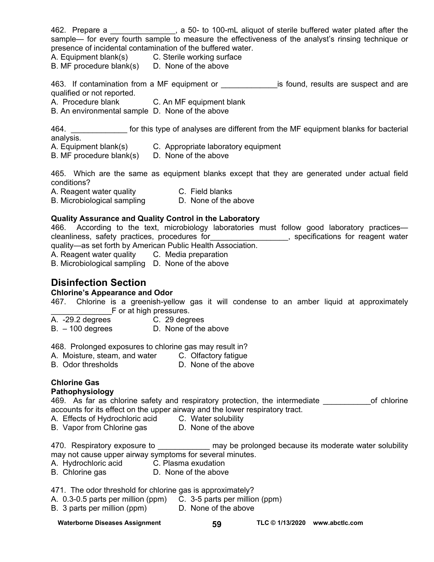462. Prepare a \_\_\_\_\_\_\_\_\_\_\_\_\_\_\_, a 50- to 100-mL aliquot of sterile buffered water plated after the sample— for every fourth sample to measure the effectiveness of the analyst's rinsing technique or presence of incidental contamination of the buffered water.

A. Equipment blank(s) C. Sterile working surface

B. MF procedure blank(s) D. None of the above

463. If contamination from a MF equipment or \_\_\_\_\_\_\_\_\_\_\_\_\_\_\_is found, results are suspect and are qualified or not reported.

A. Procedure blank C. An MF equipment blank

B. An environmental sample D. None of the above

464. \_\_\_\_\_\_\_\_\_\_\_\_\_ for this type of analyses are different from the MF equipment blanks for bacterial analysis.

- A. Equipment blank(s) C. Appropriate laboratory equipment
- B. MF procedure blank(s) D. None of the above

465. Which are the same as equipment blanks except that they are generated under actual field conditions?

A. Reagent water quality C. Field blanks B. Microbiological sampling D. None of the above

#### **Quality Assurance and Quality Control in the Laboratory**

466. According to the text, microbiology laboratories must follow good laboratory practices cleanliness, safety practices, procedures for\_\_\_\_\_\_\_\_\_\_\_\_\_\_\_\_\_\_, specifications for reagent water quality—as set forth by American Public Health Association. A. Reagent water quality C. Media preparation

B. Microbiological sampling D. None of the above

# **Disinfection Section**

#### **Chlorine's Appearance and Odor**

467. Chlorine is a greenish-yellow gas it will condense to an amber liquid at approximately **Example 15 F** or at high pressures.

- A. -29.2 degrees C. 29 degrees
- B. 100 degrees D. None of the above

468. Prolonged exposures to chlorine gas may result in?

- A. Moisture, steam, and water C. Olfactory fatigue<br>B. Odor thresholds D. None of the above
- D. None of the above

# **Chlorine Gas**

# **Pathophysiology**

469. As far as chlorine safety and respiratory protection, the intermediate on the of chlorine accounts for its effect on the upper airway and the lower respiratory tract.

A. Effects of Hydrochloric acid C. Water solubility

B. Vapor from Chlorine gas **D. None of the above** 

470. Respiratory exposure to \_\_\_\_\_\_\_\_\_\_\_\_ may be prolonged because its moderate water solubility may not cause upper airway symptoms for several minutes.

- A. Hydrochloric acid C. Plasma exudation
- B. Chlorine gas **D. None of the above**

471. The odor threshold for chlorine gas is approximately?

- A. 0.3-0.5 parts per million (ppm) C. 3-5 parts per million (ppm)
- B. 3 parts per million (ppm) D. None of the above

#### Waterborne Diseases Assignment **59 TLC © 1/13/2020** www.abctlc.com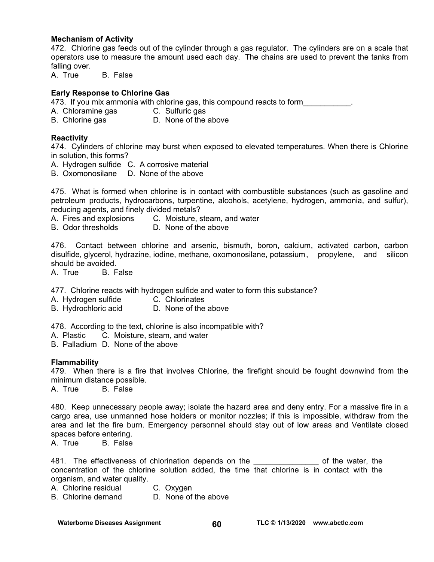#### **Mechanism of Activity**

472. Chlorine gas feeds out of the cylinder through a gas regulator. The cylinders are on a scale that operators use to measure the amount used each day. The chains are used to prevent the tanks from falling over.

A. True B. False

#### **Early Response to Chlorine Gas**

473. If you mix ammonia with chlorine gas, this compound reacts to form\_\_\_\_\_\_\_\_\_\_.

- A. Chloramine gas C. Sulfuric gas
- B. Chlorine gas **D.** None of the above

#### **Reactivity**

474. Cylinders of chlorine may burst when exposed to elevated temperatures. When there is Chlorine in solution, this forms?

- A. Hydrogen sulfide C. A corrosive material
- B. Oxomonosilane D. None of the above

475. What is formed when chlorine is in contact with combustible substances (such as gasoline and petroleum products, hydrocarbons, turpentine, alcohols, acetylene, hydrogen, ammonia, and sulfur), reducing agents, and finely divided metals?

A. Fires and explosions C. Moisture, steam, and water

B. Odor thresholds D. None of the above

476. Contact between chlorine and arsenic, bismuth, boron, calcium, activated carbon, carbon disulfide, glycerol, hydrazine, iodine, methane, oxomonosilane, potassium , propylene, and silicon should be avoided.

A. True B. False

477. Chlorine reacts with hydrogen sulfide and water to form this substance?

A. Hydrogen sulfide C. Chlorinates

B. Hydrochloric acid D. None of the above

478. According to the text, chlorine is also incompatible with?

- A. Plastic C. Moisture, steam, and water
- B. Palladium D. None of the above

#### **Flammability**

479. When there is a fire that involves Chlorine, the firefight should be fought downwind from the minimum distance possible.

A. True B. False

480. Keep unnecessary people away; isolate the hazard area and deny entry. For a massive fire in a cargo area, use unmanned hose holders or monitor nozzles; if this is impossible, withdraw from the area and let the fire burn. Emergency personnel should stay out of low areas and Ventilate closed spaces before entering.

A. True B. False

481. The effectiveness of chlorination depends on the \_\_\_\_\_\_\_\_\_\_\_\_\_\_\_\_\_\_\_\_ of the water, the concentration of the chlorine solution added, the time that chlorine is in contact with the organism, and water quality.

A. Chlorine residual C. Oxygen

B. Chlorine demand D. None of the above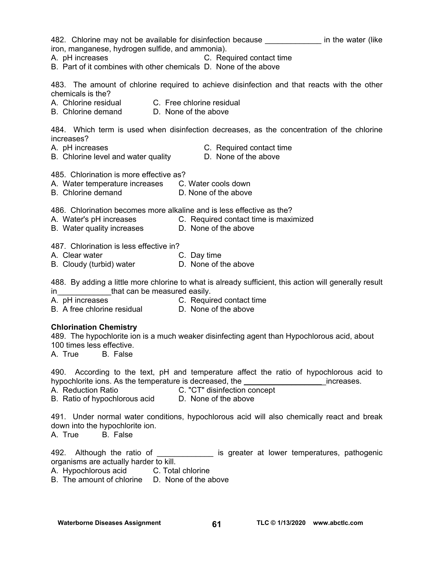482. Chlorine may not be available for disinfection because **the in the water (like** iron, manganese, hydrogen sulfide, and ammonia). A. pH increases **C. Required contact time** B. Part of it combines with other chemicals D. None of the above 483. The amount of chlorine required to achieve disinfection and that reacts with the other chemicals is the? A. Chlorine residual C. Free chlorine residual B. Chlorine demand D. None of the above 484. Which term is used when disinfection decreases, as the concentration of the chlorine increases? A. pH increases C. Required contact time<br>B. Chlorine level and water quality B. None of the above B. Chlorine level and water quality 485. Chlorination is more effective as? A. Water temperature increases C. Water cools down B. Chlorine demand D. None of the above 486. Chlorination becomes more alkaline and is less effective as the? A. Water's pH increases C. Required contact time is maximized B. Water quality increases **D. None of the above** 487. Chlorination is less effective in? A. Clear water **C. Day time** B. Cloudy (turbid) water **D.** None of the above 488. By adding a little more chlorine to what is already sufficient, this action will generally result in **that can be measured easily.** A. pH increases **C. Required contact time** B. A free chlorine residual D. None of the above **Chlorination Chemistry**  489. The hypochlorite ion is a much weaker disinfecting agent than Hypochlorous acid, about 100 times less effective. A. True B. False 490. According to the text, pH and temperature affect the ratio of hypochlorous acid to hypochlorite ions. As the temperature is decreased, the the contract increases. A. Reduction Ratio C. "CT" disinfection concept B. Ratio of hypochlorous acid D. None of the above 491. Under normal water conditions, hypochlorous acid will also chemically react and break down into the hypochlorite ion. A. True B. False 492. Although the ratio of \_\_\_\_\_\_\_\_\_\_\_\_\_\_ is greater at lower temperatures, pathogenic organisms are actually harder to kill. A. Hypochlorous acid C. Total chlorine B. The amount of chlorine D. None of the above